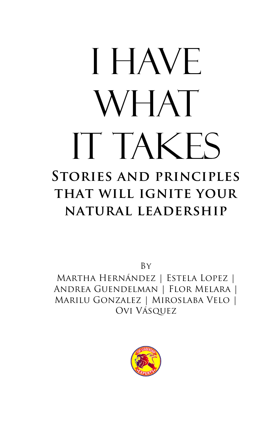## I HAVE WHAT IT TAKES **Stories and principles that will ignite your natural leadership**

By

Martha Hernández | Estela Lopez | Andrea Guendelman | Flor Melara | Marilu Gonzalez | Miroslaba Velo | Ovi Vásquez

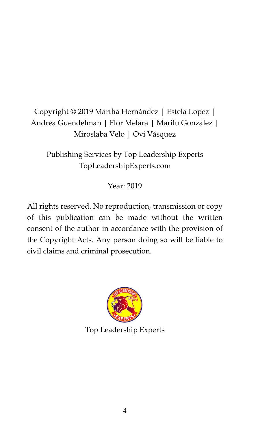#### Copyright © 2019 Martha Hernández | Estela Lopez | Andrea Guendelman | Flor Melara | Marilu Gonzalez | Miroslaba Velo | Ovi Vásquez

Publishing Services by Top Leadership Experts TopLeadershipExperts.com

Year: 2019

All rights reserved. No reproduction, transmission or copy of this publication can be made without the written consent of the author in accordance with the provision of the Copyright Acts. Any person doing so will be liable to civil claims and criminal prosecution.



Top Leadership Experts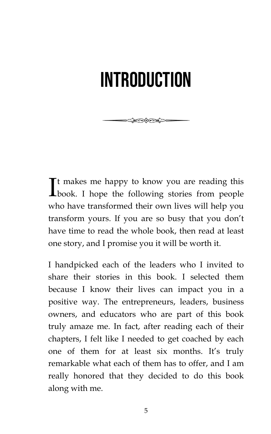## Introduction



I handpicked each of the leaders who I invited to share their stories in this book. I selected them because I know their lives can impact you in a positive way. The entrepreneurs, leaders, business owners, and educators who are part of this book truly amaze me. In fact, after reading each of their chapters, I felt like I needed to get coached by each one of them for at least six months. It's truly remarkable what each of them has to offer, and I am really honored that they decided to do this book along with me.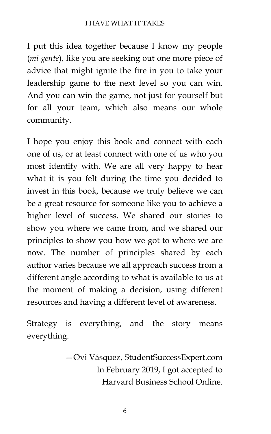I put this idea together because I know my people (*mi gente*), like you are seeking out one more piece of advice that might ignite the fire in you to take your leadership game to the next level so you can win. And you can win the game, not just for yourself but for all your team, which also means our whole community.

I hope you enjoy this book and connect with each one of us, or at least connect with one of us who you most identify with. We are all very happy to hear what it is you felt during the time you decided to invest in this book, because we truly believe we can be a great resource for someone like you to achieve a higher level of success. We shared our stories to show you where we came from, and we shared our principles to show you how we got to where we are now. The number of principles shared by each author varies because we all approach success from a different angle according to what is available to us at the moment of making a decision, using different resources and having a different level of awareness.

Strategy is everything, and the story means everything.

> —Ovi Vásquez, StudentSuccessExpert.com In February 2019, I got accepted to Harvard Business School Online.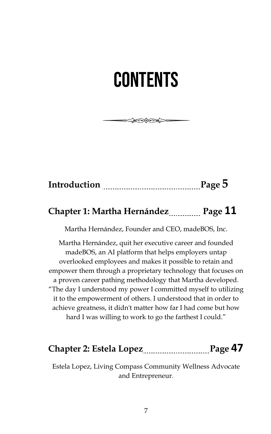### **CONTENTS**



#### Introduction **Mature 19 and Page 5**

#### **Chapter 1: Martha Hernández Page 11**

Martha Hernández, Founder and CEO, madeBOS, Inc.

Martha Hernández, quit her executive career and founded madeBOS, an AI platform that helps employers untap overlooked employees and makes it possible to retain and empower them through a proprietary technology that focuses on a proven career pathing methodology that Martha developed. "The day I understood my power I committed myself to utilizing it to the empowerment of others. I understood that in order to achieve greatness, it didn't matter how far I had come but how hard I was willing to work to go the farthest I could."

#### Chapter 2: Estela Lopez **Manual Lopez** Page 47

Estela Lopez, Living Compass Community Wellness Advocate and Entrepreneur.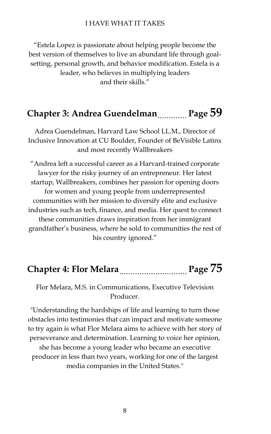"Estela Lopez is passionate about helping people become the best version of themselves to live an abundant life through goalsetting, personal growth, and behavior modification. Estela is a leader, who believes in multiplying leaders and their skills."

#### **Chapter 3: Andrea Guendelman Page 59**

Adrea Guendelman, Harvard Law School LL.M., Director of Inclusive Innovation at CU Boulder, Founder of BeVisible Latinx and most recently Wallbreakers

"Andrea left a successful career as a Harvard-trained corporate lawyer for the risky journey of an entrepreneur. Her latest startup, Wallbreakers, combines her passion for opening doors for women and young people from underrepresented communities with her mission to diversify elite and exclusive industries such as tech, finance, and media. Her quest to connect these communities draws inspiration from her immigrant grandfather's business, where he sold to communities the rest of his country ignored."

Chapter 4: Flor Melara **Marrior 19.18 Page 75** 

Flor Melara, M.S. in Communications, Executive Television Producer.

"Understanding the hardships of life and learning to turn those obstacles into testimonies that can impact and motivate someone to try again is what Flor Melara aims to achieve with her story of perseverance and determination. Learning to voice her opinion, she has become a young leader who became an executive producer in less than two years, working for one of the largest

media companies in the United States."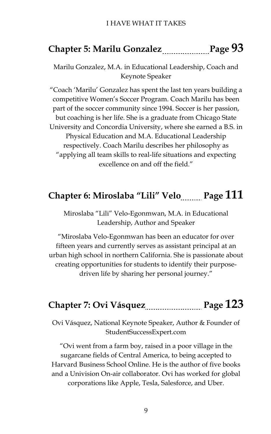#### Chapter 5: Marilu Gonzalez Page 93

Marilu Gonzalez, M.A. in Educational Leadership, Coach and Keynote Speaker

"Coach 'Marilu' Gonzalez has spent the last ten years building a competitive Women's Soccer Program. Coach Marilu has been part of the soccer community since 1994. Soccer is her passion, but coaching is her life. She is a graduate from Chicago State University and Concordia University, where she earned a B.S. in Physical Education and M.A. Educational Leadership respectively. Coach Marilu describes her philosophy as "applying all team skills to real-life situations and expecting excellence on and off the field."

#### **Chapter 6: Miroslaba "Lili" Velo Page 111**

Miroslaba "Lili" Velo-Egonmwan, M.A. in Educational Leadership, Author and Speaker

"Miroslaba Velo-Egonmwan has been an educator for over fifteen years and currently serves as assistant principal at an urban high school in northern California. She is passionate about creating opportunities for students to identify their purposedriven life by sharing her personal journey."

#### Chapter 7: Ovi Vásquez **Page 123**

Ovi Vásquez, National Keynote Speaker, Author & Founder of StudentSuccessExpert.com

"Ovi went from a farm boy, raised in a poor village in the sugarcane fields of Central America, to being accepted to Harvard Business School Online. He is the author of five books and a Univision On-air collaborator. Ovi has worked for global corporations like Apple, Tesla, Salesforce, and Uber.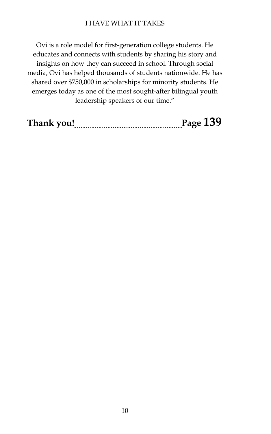Ovi is a role model for first-generation college students. He educates and connects with students by sharing his story and insights on how they can succeed in school. Through social media, Ovi has helped thousands of students nationwide. He has shared over \$750,000 in scholarships for minority students. He emerges today as one of the most sought-after bilingual youth leadership speakers of our time."

| Тh<br>iank. |  |  |
|-------------|--|--|
|             |  |  |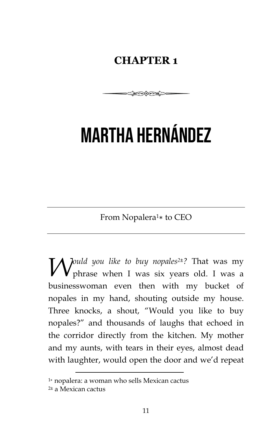#### **CHAPTER 1**

$$
\overbrace{\hspace{4.5cm}}^{}
$$

## Martha HernÁndez

#### From Nopalera1∗ to CEO

*ould you like to buy nopales2±?* That was my phrase when I was six years old. I was a businesswoman even then with my bucket of nopales in my hand, shouting outside my house. Three knocks, a shout, "Would you like to buy nopales?" and thousands of laughs that echoed in the corridor directly from the kitchen. My mother and my aunts, with tears in their eyes, almost dead with laughter, would open the door and we'd repeat *W*

 $\overline{a}$ 

<sup>1</sup><sup>∗</sup> nopalera: a woman who sells Mexican cactus

<sup>2±</sup> a Mexican cactus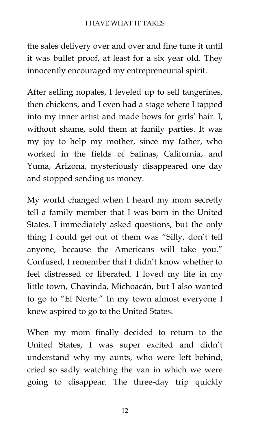the sales delivery over and over and fine tune it until it was bullet proof, at least for a six year old. They innocently encouraged my entrepreneurial spirit.

After selling nopales, I leveled up to sell tangerines, then chickens, and I even had a stage where I tapped into my inner artist and made bows for girls' hair. I, without shame, sold them at family parties. It was my joy to help my mother, since my father, who worked in the fields of Salinas, California, and Yuma, Arizona, mysteriously disappeared one day and stopped sending us money.

My world changed when I heard my mom secretly tell a family member that I was born in the United States. I immediately asked questions, but the only thing I could get out of them was "Silly, don't tell anyone, because the Americans will take you." Confused, I remember that I didn't know whether to feel distressed or liberated. I loved my life in my little town, Chavinda, Michoacán, but I also wanted to go to "El Norte." In my town almost everyone I knew aspired to go to the United States.

When my mom finally decided to return to the United States, I was super excited and didn't understand why my aunts, who were left behind, cried so sadly watching the van in which we were going to disappear. The three-day trip quickly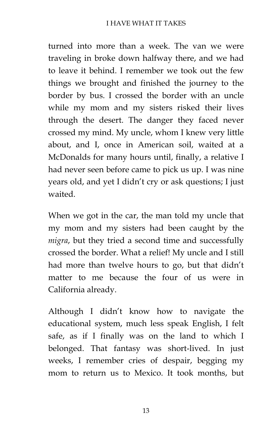turned into more than a week. The van we were traveling in broke down halfway there, and we had to leave it behind. I remember we took out the few things we brought and finished the journey to the border by bus. I crossed the border with an uncle while my mom and my sisters risked their lives through the desert. The danger they faced never crossed my mind. My uncle, whom I knew very little about, and I, once in American soil, waited at a McDonalds for many hours until, finally, a relative I had never seen before came to pick us up. I was nine years old, and yet I didn't cry or ask questions; I just waited.

When we got in the car, the man told my uncle that my mom and my sisters had been caught by the *migra*, but they tried a second time and successfully crossed the border. What a relief! My uncle and I still had more than twelve hours to go, but that didn't matter to me because the four of us were in California already.

Although I didn't know how to navigate the educational system, much less speak English, I felt safe, as if I finally was on the land to which I belonged. That fantasy was short-lived. In just weeks, I remember cries of despair, begging my mom to return us to Mexico. It took months, but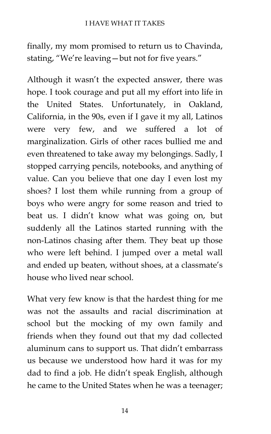finally, my mom promised to return us to Chavinda, stating, "We're leaving—but not for five years."

Although it wasn't the expected answer, there was hope. I took courage and put all my effort into life in the United States. Unfortunately, in Oakland, California, in the 90s, even if I gave it my all, Latinos were very few, and we suffered a lot of marginalization. Girls of other races bullied me and even threatened to take away my belongings. Sadly, I stopped carrying pencils, notebooks, and anything of value. Can you believe that one day I even lost my shoes? I lost them while running from a group of boys who were angry for some reason and tried to beat us. I didn't know what was going on, but suddenly all the Latinos started running with the non-Latinos chasing after them. They beat up those who were left behind. I jumped over a metal wall and ended up beaten, without shoes, at a classmate's house who lived near school.

What very few know is that the hardest thing for me was not the assaults and racial discrimination at school but the mocking of my own family and friends when they found out that my dad collected aluminum cans to support us. That didn't embarrass us because we understood how hard it was for my dad to find a job. He didn't speak English, although he came to the United States when he was a teenager;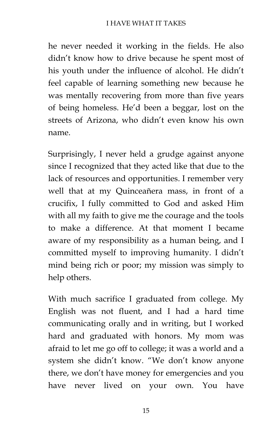he never needed it working in the fields. He also didn't know how to drive because he spent most of his youth under the influence of alcohol. He didn't feel capable of learning something new because he was mentally recovering from more than five years of being homeless. He'd been a beggar, lost on the streets of Arizona, who didn't even know his own name.

Surprisingly, I never held a grudge against anyone since I recognized that they acted like that due to the lack of resources and opportunities. I remember very well that at my Quinceañera mass, in front of a crucifix, I fully committed to God and asked Him with all my faith to give me the courage and the tools to make a difference. At that moment I became aware of my responsibility as a human being, and I committed myself to improving humanity. I didn't mind being rich or poor; my mission was simply to help others.

With much sacrifice I graduated from college. My English was not fluent, and I had a hard time communicating orally and in writing, but I worked hard and graduated with honors. My mom was afraid to let me go off to college; it was a world and a system she didn't know. "We don't know anyone there, we don't have money for emergencies and you have never lived on your own. You have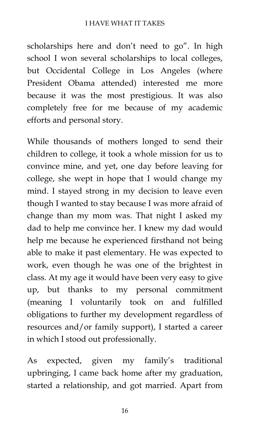scholarships here and don't need to go". In high school I won several scholarships to local colleges, but Occidental College in Los Angeles (where President Obama attended) interested me more because it was the most prestigious. It was also completely free for me because of my academic efforts and personal story.

While thousands of mothers longed to send their children to college, it took a whole mission for us to convince mine, and yet, one day before leaving for college, she wept in hope that I would change my mind. I stayed strong in my decision to leave even though I wanted to stay because I was more afraid of change than my mom was. That night I asked my dad to help me convince her. I knew my dad would help me because he experienced firsthand not being able to make it past elementary. He was expected to work, even though he was one of the brightest in class. At my age it would have been very easy to give up, but thanks to my personal commitment (meaning I voluntarily took on and fulfilled obligations to further my development regardless of resources and/or family support), I started a career in which I stood out professionally.

As expected, given my family's traditional upbringing, I came back home after my graduation, started a relationship, and got married. Apart from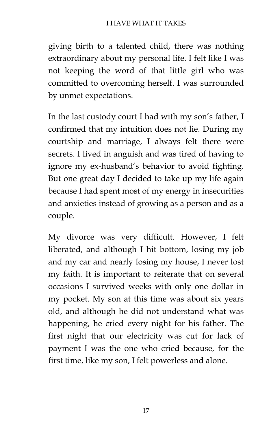giving birth to a talented child, there was nothing extraordinary about my personal life. I felt like I was not keeping the word of that little girl who was committed to overcoming herself. I was surrounded by unmet expectations.

In the last custody court I had with my son's father, I confirmed that my intuition does not lie. During my courtship and marriage, I always felt there were secrets. I lived in anguish and was tired of having to ignore my ex-husband's behavior to avoid fighting. But one great day I decided to take up my life again because I had spent most of my energy in insecurities and anxieties instead of growing as a person and as a couple.

My divorce was very difficult. However, I felt liberated, and although I hit bottom, losing my job and my car and nearly losing my house, I never lost my faith. It is important to reiterate that on several occasions I survived weeks with only one dollar in my pocket. My son at this time was about six years old, and although he did not understand what was happening, he cried every night for his father. The first night that our electricity was cut for lack of payment I was the one who cried because, for the first time, like my son, I felt powerless and alone.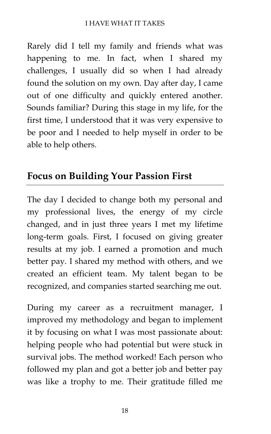Rarely did I tell my family and friends what was happening to me. In fact, when I shared my challenges, I usually did so when I had already found the solution on my own. Day after day, I came out of one difficulty and quickly entered another. Sounds familiar? During this stage in my life, for the first time, I understood that it was very expensive to be poor and I needed to help myself in order to be able to help others.

#### **Focus on Building Your Passion First**

The day I decided to change both my personal and my professional lives, the energy of my circle changed, and in just three years I met my lifetime long-term goals. First, I focused on giving greater results at my job. I earned a promotion and much better pay. I shared my method with others, and we created an efficient team. My talent began to be recognized, and companies started searching me out.

During my career as a recruitment manager, I improved my methodology and began to implement it by focusing on what I was most passionate about: helping people who had potential but were stuck in survival jobs. The method worked! Each person who followed my plan and got a better job and better pay was like a trophy to me. Their gratitude filled me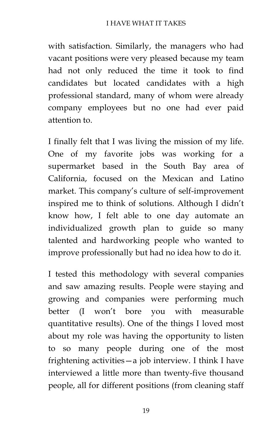with satisfaction. Similarly, the managers who had vacant positions were very pleased because my team had not only reduced the time it took to find candidates but located candidates with a high professional standard, many of whom were already company employees but no one had ever paid attention to.

I finally felt that I was living the mission of my life. One of my favorite jobs was working for a supermarket based in the South Bay area of California, focused on the Mexican and Latino market. This company's culture of self-improvement inspired me to think of solutions. Although I didn't know how, I felt able to one day automate an individualized growth plan to guide so many talented and hardworking people who wanted to improve professionally but had no idea how to do it.

I tested this methodology with several companies and saw amazing results. People were staying and growing and companies were performing much better (I won't bore you with measurable quantitative results). One of the things I loved most about my role was having the opportunity to listen to so many people during one of the most frightening activities—a job interview. I think I have interviewed a little more than twenty-five thousand people, all for different positions (from cleaning staff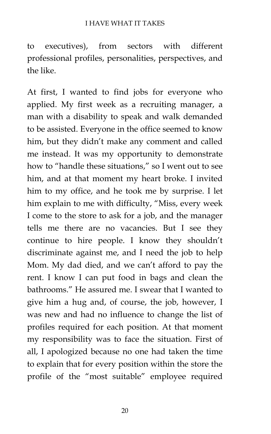to executives), from sectors with different professional profiles, personalities, perspectives, and the like.

At first, I wanted to find jobs for everyone who applied. My first week as a recruiting manager, a man with a disability to speak and walk demanded to be assisted. Everyone in the office seemed to know him, but they didn't make any comment and called me instead. It was my opportunity to demonstrate how to "handle these situations," so I went out to see him, and at that moment my heart broke. I invited him to my office, and he took me by surprise. I let him explain to me with difficulty, "Miss, every week I come to the store to ask for a job, and the manager tells me there are no vacancies. But I see they continue to hire people. I know they shouldn't discriminate against me, and I need the job to help Mom. My dad died, and we can't afford to pay the rent. I know I can put food in bags and clean the bathrooms." He assured me. I swear that I wanted to give him a hug and, of course, the job, however, I was new and had no influence to change the list of profiles required for each position. At that moment my responsibility was to face the situation. First of all, I apologized because no one had taken the time to explain that for every position within the store the profile of the "most suitable" employee required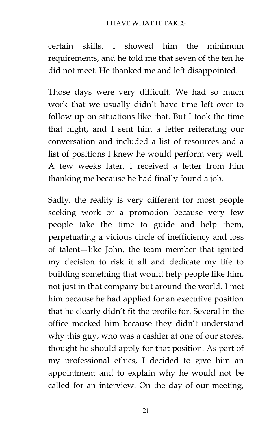certain skills. I showed him the minimum requirements, and he told me that seven of the ten he did not meet. He thanked me and left disappointed.

Those days were very difficult. We had so much work that we usually didn't have time left over to follow up on situations like that. But I took the time that night, and I sent him a letter reiterating our conversation and included a list of resources and a list of positions I knew he would perform very well. A few weeks later, I received a letter from him thanking me because he had finally found a job.

Sadly, the reality is very different for most people seeking work or a promotion because very few people take the time to guide and help them, perpetuating a vicious circle of inefficiency and loss of talent—like John, the team member that ignited my decision to risk it all and dedicate my life to building something that would help people like him, not just in that company but around the world. I met him because he had applied for an executive position that he clearly didn't fit the profile for. Several in the office mocked him because they didn't understand why this guy, who was a cashier at one of our stores, thought he should apply for that position. As part of my professional ethics, I decided to give him an appointment and to explain why he would not be called for an interview. On the day of our meeting,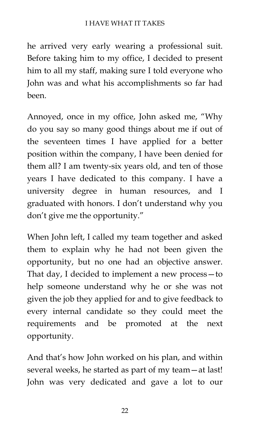he arrived very early wearing a professional suit. Before taking him to my office, I decided to present him to all my staff, making sure I told everyone who John was and what his accomplishments so far had been.

Annoyed, once in my office, John asked me, "Why do you say so many good things about me if out of the seventeen times I have applied for a better position within the company, I have been denied for them all? I am twenty-six years old, and ten of those years I have dedicated to this company. I have a university degree in human resources, and I graduated with honors. I don't understand why you don't give me the opportunity."

When John left, I called my team together and asked them to explain why he had not been given the opportunity, but no one had an objective answer. That day, I decided to implement a new process—to help someone understand why he or she was not given the job they applied for and to give feedback to every internal candidate so they could meet the requirements and be promoted at the next opportunity.

And that's how John worked on his plan, and within several weeks, he started as part of my team—at last! John was very dedicated and gave a lot to our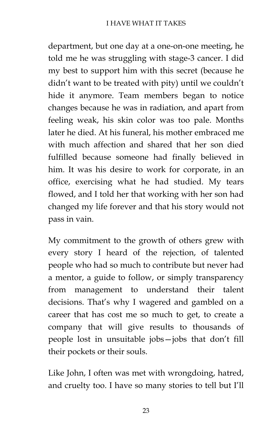department, but one day at a one-on-one meeting, he told me he was struggling with stage-3 cancer. I did my best to support him with this secret (because he didn't want to be treated with pity) until we couldn't hide it anymore. Team members began to notice changes because he was in radiation, and apart from feeling weak, his skin color was too pale. Months later he died. At his funeral, his mother embraced me with much affection and shared that her son died fulfilled because someone had finally believed in him. It was his desire to work for corporate, in an office, exercising what he had studied. My tears flowed, and I told her that working with her son had changed my life forever and that his story would not pass in vain.

My commitment to the growth of others grew with every story I heard of the rejection, of talented people who had so much to contribute but never had a mentor, a guide to follow, or simply transparency from management to understand their talent decisions. That's why I wagered and gambled on a career that has cost me so much to get, to create a company that will give results to thousands of people lost in unsuitable jobs—jobs that don't fill their pockets or their souls.

Like John, I often was met with wrongdoing, hatred, and cruelty too. I have so many stories to tell but I'll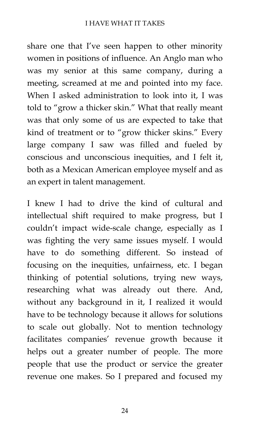share one that I've seen happen to other minority women in positions of influence. An Anglo man who was my senior at this same company, during a meeting, screamed at me and pointed into my face. When I asked administration to look into it, I was told to "grow a thicker skin." What that really meant was that only some of us are expected to take that kind of treatment or to "grow thicker skins." Every large company I saw was filled and fueled by conscious and unconscious inequities, and I felt it, both as a Mexican American employee myself and as an expert in talent management.

I knew I had to drive the kind of cultural and intellectual shift required to make progress, but I couldn't impact wide-scale change, especially as I was fighting the very same issues myself. I would have to do something different. So instead of focusing on the inequities, unfairness, etc. I began thinking of potential solutions, trying new ways, researching what was already out there. And, without any background in it, I realized it would have to be technology because it allows for solutions to scale out globally. Not to mention technology facilitates companies' revenue growth because it helps out a greater number of people. The more people that use the product or service the greater revenue one makes. So I prepared and focused my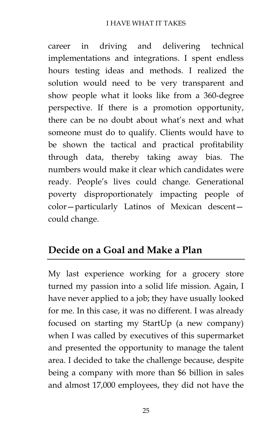career in driving and delivering technical implementations and integrations. I spent endless hours testing ideas and methods. I realized the solution would need to be very transparent and show people what it looks like from a 360-degree perspective. If there is a promotion opportunity, there can be no doubt about what's next and what someone must do to qualify. Clients would have to be shown the tactical and practical profitability through data, thereby taking away bias. The numbers would make it clear which candidates were ready. People's lives could change. Generational poverty disproportionately impacting people of color—particularly Latinos of Mexican descent could change.

#### **Decide on a Goal and Make a Plan**

My last experience working for a grocery store turned my passion into a solid life mission. Again, I have never applied to a job; they have usually looked for me. In this case, it was no different. I was already focused on starting my StartUp (a new company) when I was called by executives of this supermarket and presented the opportunity to manage the talent area. I decided to take the challenge because, despite being a company with more than \$6 billion in sales and almost 17,000 employees, they did not have the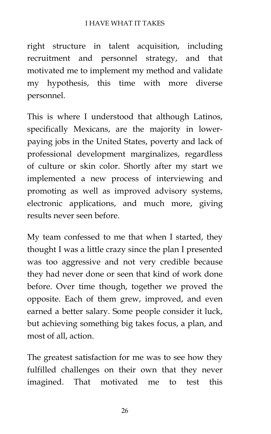right structure in talent acquisition, including recruitment and personnel strategy, and that motivated me to implement my method and validate my hypothesis, this time with more diverse personnel.

This is where I understood that although Latinos, specifically Mexicans, are the majority in lowerpaying jobs in the United States, poverty and lack of professional development marginalizes, regardless of culture or skin color. Shortly after my start we implemented a new process of interviewing and promoting as well as improved advisory systems, electronic applications, and much more, giving results never seen before.

My team confessed to me that when I started, they thought I was a little crazy since the plan I presented was too aggressive and not very credible because they had never done or seen that kind of work done before. Over time though, together we proved the opposite. Each of them grew, improved, and even earned a better salary. Some people consider it luck, but achieving something big takes focus, a plan, and most of all, action.

The greatest satisfaction for me was to see how they fulfilled challenges on their own that they never imagined. That motivated me to test this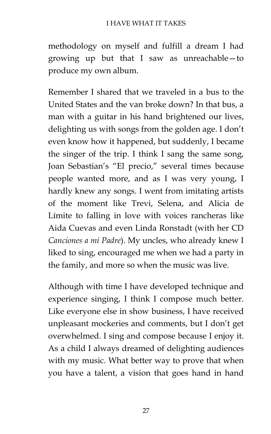methodology on myself and fulfill a dream I had growing up but that I saw as unreachable—to produce my own album.

Remember I shared that we traveled in a bus to the United States and the van broke down? In that bus, a man with a guitar in his hand brightened our lives, delighting us with songs from the golden age. I don't even know how it happened, but suddenly, I became the singer of the trip. I think I sang the same song, Joan Sebastian's "El precio," several times because people wanted more, and as I was very young, I hardly knew any songs. I went from imitating artists of the moment like Trevi, Selena, and Alicia de Límite to falling in love with voices rancheras like Aida Cuevas and even Linda Ronstadt (with her CD *Canciones a mi Padre*). My uncles, who already knew I liked to sing, encouraged me when we had a party in the family, and more so when the music was live.

Although with time I have developed technique and experience singing, I think I compose much better. Like everyone else in show business, I have received unpleasant mockeries and comments, but I don't get overwhelmed. I sing and compose because I enjoy it. As a child I always dreamed of delighting audiences with my music. What better way to prove that when you have a talent, a vision that goes hand in hand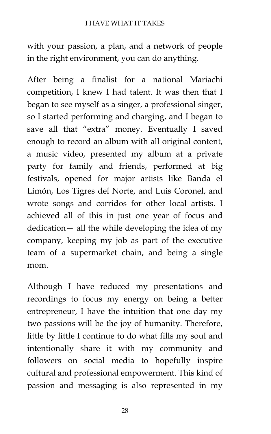with your passion, a plan, and a network of people in the right environment, you can do anything.

After being a finalist for a national Mariachi competition, I knew I had talent. It was then that I began to see myself as a singer, a professional singer, so I started performing and charging, and I began to save all that "extra" money. Eventually I saved enough to record an album with all original content, a music video, presented my album at a private party for family and friends, performed at big festivals, opened for major artists like Banda el Limón, Los Tigres del Norte, and Luis Coronel, and wrote songs and corridos for other local artists. I achieved all of this in just one year of focus and dedication— all the while developing the idea of my company, keeping my job as part of the executive team of a supermarket chain, and being a single mom.

Although I have reduced my presentations and recordings to focus my energy on being a better entrepreneur, I have the intuition that one day my two passions will be the joy of humanity. Therefore, little by little I continue to do what fills my soul and intentionally share it with my community and followers on social media to hopefully inspire cultural and professional empowerment. This kind of passion and messaging is also represented in my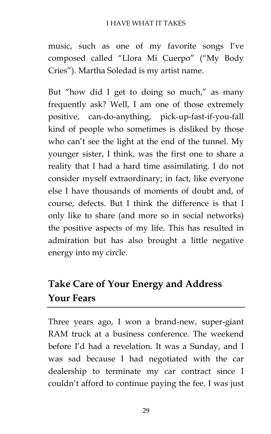music, such as one of my favorite songs I've composed called "Llora Mi Cuerpo" ("My Body Cries"). Martha Soledad is my artist name.

But "how did I get to doing so much," as many frequently ask? Well, I am one of those extremely positive, can-do-anything, pick-up-fast-if-you-fall kind of people who sometimes is disliked by those who can't see the light at the end of the tunnel. My younger sister, I think, was the first one to share a reality that I had a hard time assimilating. I do not consider myself extraordinary; in fact, like everyone else I have thousands of moments of doubt and, of course, defects. But I think the difference is that I only like to share (and more so in social networks) the positive aspects of my life. This has resulted in admiration but has also brought a little negative energy into my circle.

#### **Take Care of Your Energy and Address Your Fears**

Three years ago, I won a brand-new, super-giant RAM truck at a business conference. The weekend before I'd had a revelation. It was a Sunday, and I was sad because I had negotiated with the car dealership to terminate my car contract since I couldn't afford to continue paying the fee. I was just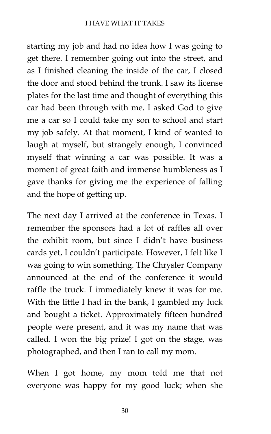starting my job and had no idea how I was going to get there. I remember going out into the street, and as I finished cleaning the inside of the car, I closed the door and stood behind the trunk. I saw its license plates for the last time and thought of everything this car had been through with me. I asked God to give me a car so I could take my son to school and start my job safely. At that moment, I kind of wanted to laugh at myself, but strangely enough, I convinced myself that winning a car was possible. It was a moment of great faith and immense humbleness as I gave thanks for giving me the experience of falling and the hope of getting up.

The next day I arrived at the conference in Texas. I remember the sponsors had a lot of raffles all over the exhibit room, but since I didn't have business cards yet, I couldn't participate. However, I felt like I was going to win something. The Chrysler Company announced at the end of the conference it would raffle the truck. I immediately knew it was for me. With the little I had in the bank, I gambled my luck and bought a ticket. Approximately fifteen hundred people were present, and it was my name that was called. I won the big prize! I got on the stage, was photographed, and then I ran to call my mom.

When I got home, my mom told me that not everyone was happy for my good luck; when she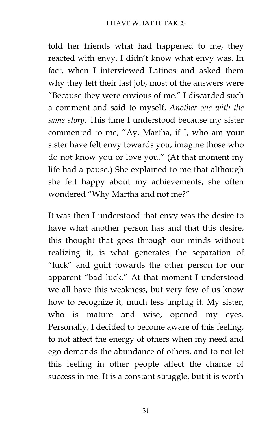told her friends what had happened to me, they reacted with envy. I didn't know what envy was. In fact, when I interviewed Latinos and asked them why they left their last job, most of the answers were "Because they were envious of me." I discarded such a comment and said to myself, *Another one with the same story*. This time I understood because my sister commented to me, "Ay, Martha, if I, who am your sister have felt envy towards you, imagine those who do not know you or love you." (At that moment my life had a pause.) She explained to me that although she felt happy about my achievements, she often wondered "Why Martha and not me?"

It was then I understood that envy was the desire to have what another person has and that this desire, this thought that goes through our minds without realizing it, is what generates the separation of "luck" and guilt towards the other person for our apparent "bad luck." At that moment I understood we all have this weakness, but very few of us know how to recognize it, much less unplug it. My sister, who is mature and wise, opened my eyes. Personally, I decided to become aware of this feeling, to not affect the energy of others when my need and ego demands the abundance of others, and to not let this feeling in other people affect the chance of success in me. It is a constant struggle, but it is worth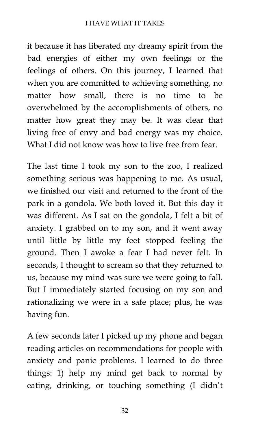it because it has liberated my dreamy spirit from the bad energies of either my own feelings or the feelings of others. On this journey, I learned that when you are committed to achieving something, no matter how small, there is no time to be overwhelmed by the accomplishments of others, no matter how great they may be. It was clear that living free of envy and bad energy was my choice. What I did not know was how to live free from fear.

The last time I took my son to the zoo, I realized something serious was happening to me. As usual, we finished our visit and returned to the front of the park in a gondola. We both loved it. But this day it was different. As I sat on the gondola, I felt a bit of anxiety. I grabbed on to my son, and it went away until little by little my feet stopped feeling the ground. Then I awoke a fear I had never felt. In seconds, I thought to scream so that they returned to us, because my mind was sure we were going to fall. But I immediately started focusing on my son and rationalizing we were in a safe place; plus, he was having fun.

A few seconds later I picked up my phone and began reading articles on recommendations for people with anxiety and panic problems. I learned to do three things: 1) help my mind get back to normal by eating, drinking, or touching something (I didn't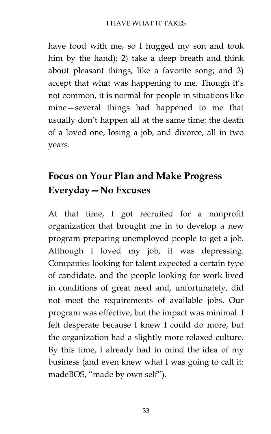have food with me, so I hugged my son and took him by the hand); 2) take a deep breath and think about pleasant things, like a favorite song; and 3) accept that what was happening to me. Though it's not common, it is normal for people in situations like mine—several things had happened to me that usually don't happen all at the same time: the death of a loved one, losing a job, and divorce, all in two years.

#### **Focus on Your Plan and Make Progress Everyday—No Excuses**

At that time, I got recruited for a nonprofit organization that brought me in to develop a new program preparing unemployed people to get a job. Although I loved my job, it was depressing. Companies looking for talent expected a certain type of candidate, and the people looking for work lived in conditions of great need and, unfortunately, did not meet the requirements of available jobs. Our program was effective, but the impact was minimal. I felt desperate because I knew I could do more, but the organization had a slightly more relaxed culture. By this time, I already had in mind the idea of my business (and even knew what I was going to call it: madeBOS, "made by own self").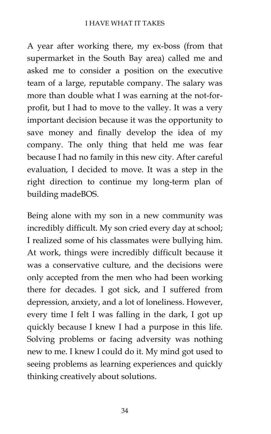A year after working there, my ex-boss (from that supermarket in the South Bay area) called me and asked me to consider a position on the executive team of a large, reputable company. The salary was more than double what I was earning at the not-forprofit, but I had to move to the valley. It was a very important decision because it was the opportunity to save money and finally develop the idea of my company. The only thing that held me was fear because I had no family in this new city. After careful evaluation, I decided to move. It was a step in the right direction to continue my long-term plan of building madeBOS.

Being alone with my son in a new community was incredibly difficult. My son cried every day at school; I realized some of his classmates were bullying him. At work, things were incredibly difficult because it was a conservative culture, and the decisions were only accepted from the men who had been working there for decades. I got sick, and I suffered from depression, anxiety, and a lot of loneliness. However, every time I felt I was falling in the dark, I got up quickly because I knew I had a purpose in this life. Solving problems or facing adversity was nothing new to me. I knew I could do it. My mind got used to seeing problems as learning experiences and quickly thinking creatively about solutions.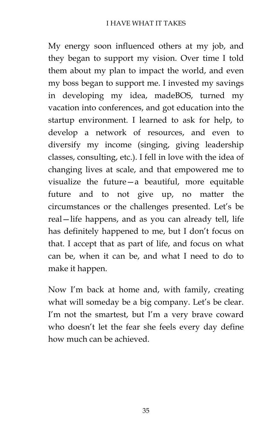My energy soon influenced others at my job, and they began to support my vision. Over time I told them about my plan to impact the world, and even my boss began to support me. I invested my savings in developing my idea, madeBOS, turned my vacation into conferences, and got education into the startup environment. I learned to ask for help, to develop a network of resources, and even to diversify my income (singing, giving leadership classes, consulting, etc.). I fell in love with the idea of changing lives at scale, and that empowered me to visualize the future—a beautiful, more equitable future and to not give up, no matter the circumstances or the challenges presented. Let's be real—life happens, and as you can already tell, life has definitely happened to me, but I don't focus on that. I accept that as part of life, and focus on what can be, when it can be, and what I need to do to make it happen.

Now I'm back at home and, with family, creating what will someday be a big company. Let's be clear. I'm not the smartest, but I'm a very brave coward who doesn't let the fear she feels every day define how much can be achieved.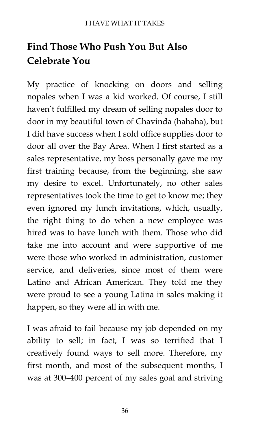#### **Find Those Who Push You But Also Celebrate You**

My practice of knocking on doors and selling nopales when I was a kid worked. Of course, I still haven't fulfilled my dream of selling nopales door to door in my beautiful town of Chavinda (hahaha), but I did have success when I sold office supplies door to door all over the Bay Area. When I first started as a sales representative, my boss personally gave me my first training because, from the beginning, she saw my desire to excel. Unfortunately, no other sales representatives took the time to get to know me; they even ignored my lunch invitations, which, usually, the right thing to do when a new employee was hired was to have lunch with them. Those who did take me into account and were supportive of me were those who worked in administration, customer service, and deliveries, since most of them were Latino and African American. They told me they were proud to see a young Latina in sales making it happen, so they were all in with me.

I was afraid to fail because my job depended on my ability to sell; in fact, I was so terrified that I creatively found ways to sell more. Therefore, my first month, and most of the subsequent months, I was at 300–400 percent of my sales goal and striving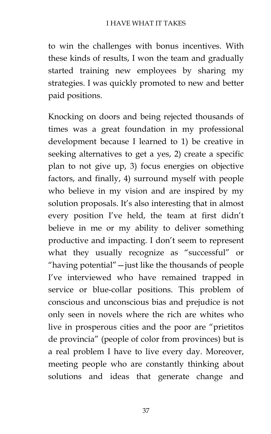to win the challenges with bonus incentives. With these kinds of results, I won the team and gradually started training new employees by sharing my strategies. I was quickly promoted to new and better paid positions.

Knocking on doors and being rejected thousands of times was a great foundation in my professional development because I learned to 1) be creative in seeking alternatives to get a yes, 2) create a specific plan to not give up, 3) focus energies on objective factors, and finally, 4) surround myself with people who believe in my vision and are inspired by my solution proposals. It's also interesting that in almost every position I've held, the team at first didn't believe in me or my ability to deliver something productive and impacting. I don't seem to represent what they usually recognize as "successful" or "having potential"—just like the thousands of people I've interviewed who have remained trapped in service or blue-collar positions. This problem of conscious and unconscious bias and prejudice is not only seen in novels where the rich are whites who live in prosperous cities and the poor are "prietitos de provincia" (people of color from provinces) but is a real problem I have to live every day. Moreover, meeting people who are constantly thinking about solutions and ideas that generate change and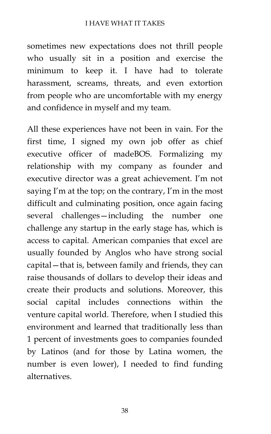sometimes new expectations does not thrill people who usually sit in a position and exercise the minimum to keep it. I have had to tolerate harassment, screams, threats, and even extortion from people who are uncomfortable with my energy and confidence in myself and my team.

All these experiences have not been in vain. For the first time, I signed my own job offer as chief executive officer of madeBOS. Formalizing my relationship with my company as founder and executive director was a great achievement. I'm not saying I'm at the top; on the contrary, I'm in the most difficult and culminating position, once again facing several challenges—including the number one challenge any startup in the early stage has, which is access to capital. American companies that excel are usually founded by Anglos who have strong social capital—that is, between family and friends, they can raise thousands of dollars to develop their ideas and create their products and solutions. Moreover, this social capital includes connections within the venture capital world. Therefore, when I studied this environment and learned that traditionally less than 1 percent of investments goes to companies founded by Latinos (and for those by Latina women, the number is even lower), I needed to find funding alternatives.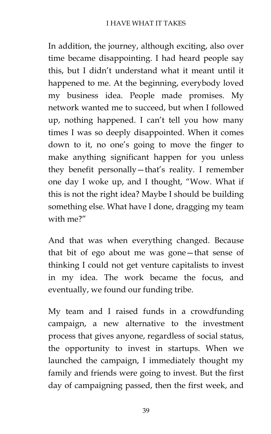In addition, the journey, although exciting, also over time became disappointing. I had heard people say this, but I didn't understand what it meant until it happened to me. At the beginning, everybody loved my business idea. People made promises. My network wanted me to succeed, but when I followed up, nothing happened. I can't tell you how many times I was so deeply disappointed. When it comes down to it, no one's going to move the finger to make anything significant happen for you unless they benefit personally—that's reality. I remember one day I woke up, and I thought, "Wow. What if this is not the right idea? Maybe I should be building something else. What have I done, dragging my team with me?"

And that was when everything changed. Because that bit of ego about me was gone—that sense of thinking I could not get venture capitalists to invest in my idea. The work became the focus, and eventually, we found our funding tribe.

My team and I raised funds in a crowdfunding campaign, a new alternative to the investment process that gives anyone, regardless of social status, the opportunity to invest in startups. When we launched the campaign, I immediately thought my family and friends were going to invest. But the first day of campaigning passed, then the first week, and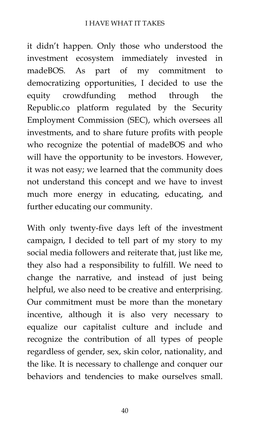it didn't happen. Only those who understood the investment ecosystem immediately invested in madeBOS. As part of my commitment to democratizing opportunities, I decided to use the equity crowdfunding method through the Republic.co platform regulated by the Security Employment Commission (SEC), which oversees all investments, and to share future profits with people who recognize the potential of madeBOS and who will have the opportunity to be investors. However, it was not easy; we learned that the community does not understand this concept and we have to invest much more energy in educating, educating, and further educating our community.

With only twenty-five days left of the investment campaign, I decided to tell part of my story to my social media followers and reiterate that, just like me, they also had a responsibility to fulfill. We need to change the narrative, and instead of just being helpful, we also need to be creative and enterprising. Our commitment must be more than the monetary incentive, although it is also very necessary to equalize our capitalist culture and include and recognize the contribution of all types of people regardless of gender, sex, skin color, nationality, and the like. It is necessary to challenge and conquer our behaviors and tendencies to make ourselves small.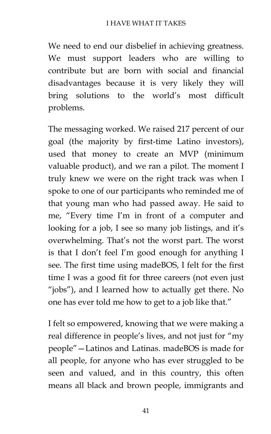We need to end our disbelief in achieving greatness. We must support leaders who are willing to contribute but are born with social and financial disadvantages because it is very likely they will bring solutions to the world's most difficult problems.

The messaging worked. We raised 217 percent of our goal (the majority by first-time Latino investors), used that money to create an MVP (minimum valuable product), and we ran a pilot. The moment I truly knew we were on the right track was when I spoke to one of our participants who reminded me of that young man who had passed away. He said to me, "Every time I'm in front of a computer and looking for a job, I see so many job listings, and it's overwhelming. That's not the worst part. The worst is that I don't feel I'm good enough for anything I see. The first time using madeBOS, I felt for the first time I was a good fit for three careers (not even just "jobs"), and I learned how to actually get there. No one has ever told me how to get to a job like that."

I felt so empowered, knowing that we were making a real difference in people's lives, and not just for "my people"—Latinos and Latinas. madeBOS is made for all people, for anyone who has ever struggled to be seen and valued, and in this country, this often means all black and brown people, immigrants and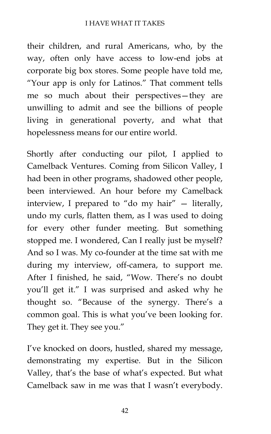their children, and rural Americans, who, by the way, often only have access to low-end jobs at corporate big box stores. Some people have told me, "Your app is only for Latinos." That comment tells me so much about their perspectives—they are unwilling to admit and see the billions of people living in generational poverty, and what that hopelessness means for our entire world.

Shortly after conducting our pilot, I applied to Camelback Ventures. Coming from Silicon Valley, I had been in other programs, shadowed other people, been interviewed. An hour before my Camelback interview, I prepared to "do my hair" — literally, undo my curls, flatten them, as I was used to doing for every other funder meeting. But something stopped me. I wondered, Can I really just be myself? And so I was. My co-founder at the time sat with me during my interview, off-camera, to support me. After I finished, he said, "Wow. There's no doubt you'll get it." I was surprised and asked why he thought so. "Because of the synergy. There's a common goal. This is what you've been looking for. They get it. They see you."

I've knocked on doors, hustled, shared my message, demonstrating my expertise. But in the Silicon Valley, that's the base of what's expected. But what Camelback saw in me was that I wasn't everybody.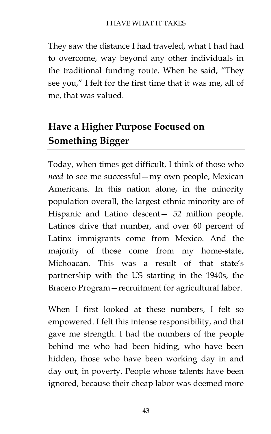They saw the distance I had traveled, what I had had to overcome, way beyond any other individuals in the traditional funding route. When he said, "They see you," I felt for the first time that it was me, all of me, that was valued.

# **Have a Higher Purpose Focused on Something Bigger**

Today, when times get difficult, I think of those who *need* to see me successful—my own people, Mexican Americans. In this nation alone, in the minority population overall, the largest ethnic minority are of Hispanic and Latino descent— 52 million people. Latinos drive that number, and over 60 percent of Latinx immigrants come from Mexico. And the majority of those come from my home-state, Michoacán. This was a result of that state's partnership with the US starting in the 1940s, the Bracero Program—recruitment for agricultural labor.

When I first looked at these numbers. I felt so empowered. I felt this intense responsibility, and that gave me strength. I had the numbers of the people behind me who had been hiding, who have been hidden, those who have been working day in and day out, in poverty. People whose talents have been ignored, because their cheap labor was deemed more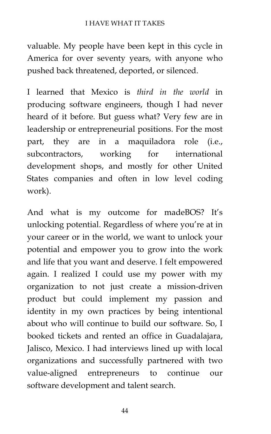#### I HAVE WHAT IT TAKES

valuable. My people have been kept in this cycle in America for over seventy years, with anyone who pushed back threatened, deported, or silenced.

I learned that Mexico is *third in the world* in producing software engineers, though I had never heard of it before. But guess what? Very few are in leadership or entrepreneurial positions. For the most part, they are in a maquiladora role (i.e., subcontractors, working for international development shops, and mostly for other United States companies and often in low level coding work).

And what is my outcome for madeBOS? It's unlocking potential. Regardless of where you're at in your career or in the world, we want to unlock your potential and empower you to grow into the work and life that you want and deserve. I felt empowered again. I realized I could use my power with my organization to not just create a mission-driven product but could implement my passion and identity in my own practices by being intentional about who will continue to build our software. So, I booked tickets and rented an office in Guadalajara, Jalisco, Mexico. I had interviews lined up with local organizations and successfully partnered with two value-aligned entrepreneurs to continue our software development and talent search.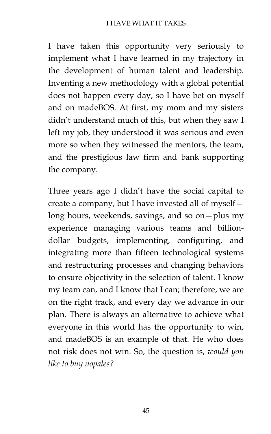I have taken this opportunity very seriously to implement what I have learned in my trajectory in the development of human talent and leadership. Inventing a new methodology with a global potential does not happen every day, so I have bet on myself and on madeBOS. At first, my mom and my sisters didn't understand much of this, but when they saw I left my job, they understood it was serious and even more so when they witnessed the mentors, the team, and the prestigious law firm and bank supporting the company.

Three years ago I didn't have the social capital to create a company, but I have invested all of myself long hours, weekends, savings, and so on—plus my experience managing various teams and billiondollar budgets, implementing, configuring, and integrating more than fifteen technological systems and restructuring processes and changing behaviors to ensure objectivity in the selection of talent. I know my team can, and I know that I can; therefore, we are on the right track, and every day we advance in our plan. There is always an alternative to achieve what everyone in this world has the opportunity to win, and madeBOS is an example of that. He who does not risk does not win. So, the question is, *would you like to buy nopales?*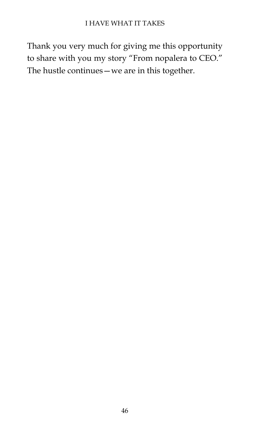Thank you very much for giving me this opportunity to share with you my story "From nopalera to CEO." The hustle continues—we are in this together.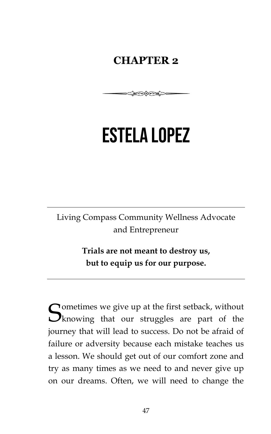# **CHAPTER 2**

$$
\overbrace{\hspace{4.5cm}}^{}
$$

# Estela Lopez

Living Compass Community Wellness Advocate and Entrepreneur

> **Trials are not meant to destroy us, but to equip us for our purpose.**

**S**ometimes we give up at the first setback, without<br>
Sknowing that our struggles are part of the  $\bigcup$  knowing that our struggles are part of the journey that will lead to success. Do not be afraid of failure or adversity because each mistake teaches us a lesson. We should get out of our comfort zone and try as many times as we need to and never give up on our dreams. Often, we will need to change the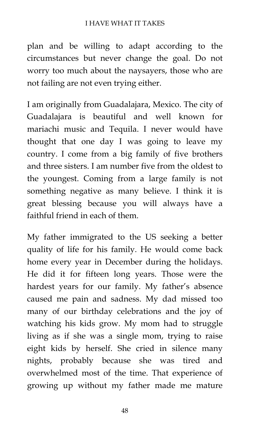#### I HAVE WHAT IT TAKES

plan and be willing to adapt according to the circumstances but never change the goal. Do not worry too much about the naysayers, those who are not failing are not even trying either.

I am originally from Guadalajara, Mexico. The city of Guadalajara is beautiful and well known for mariachi music and Tequila. I never would have thought that one day I was going to leave my country. I come from a big family of five brothers and three sisters. I am number five from the oldest to the youngest. Coming from a large family is not something negative as many believe. I think it is great blessing because you will always have a faithful friend in each of them.

My father immigrated to the US seeking a better quality of life for his family. He would come back home every year in December during the holidays. He did it for fifteen long years. Those were the hardest years for our family. My father's absence caused me pain and sadness. My dad missed too many of our birthday celebrations and the joy of watching his kids grow. My mom had to struggle living as if she was a single mom, trying to raise eight kids by herself. She cried in silence many nights, probably because she was tired and overwhelmed most of the time. That experience of growing up without my father made me mature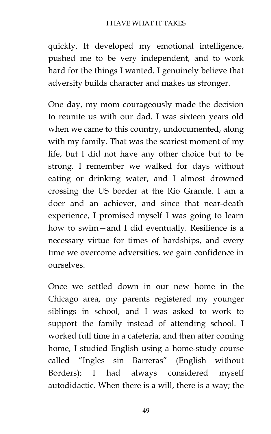### I HAVE WHAT IT TAKES

quickly. It developed my emotional intelligence, pushed me to be very independent, and to work hard for the things I wanted. I genuinely believe that adversity builds character and makes us stronger.

One day, my mom courageously made the decision to reunite us with our dad. I was sixteen years old when we came to this country, undocumented, along with my family. That was the scariest moment of my life, but I did not have any other choice but to be strong. I remember we walked for days without eating or drinking water, and I almost drowned crossing the US border at the Rio Grande. I am a doer and an achiever, and since that near-death experience, I promised myself I was going to learn how to swim—and I did eventually. Resilience is a necessary virtue for times of hardships, and every time we overcome adversities, we gain confidence in ourselves.

Once we settled down in our new home in the Chicago area, my parents registered my younger siblings in school, and I was asked to work to support the family instead of attending school. I worked full time in a cafeteria, and then after coming home, I studied English using a home-study course called "Ingles sin Barreras" (English without Borders); I had always considered myself autodidactic. When there is a will, there is a way; the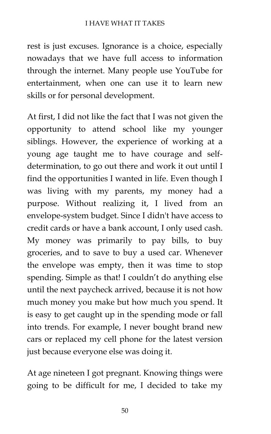rest is just excuses. Ignorance is a choice, especially nowadays that we have full access to information through the internet. Many people use YouTube for entertainment, when one can use it to learn new skills or for personal development.

At first, I did not like the fact that I was not given the opportunity to attend school like my younger siblings. However, the experience of working at a young age taught me to have courage and selfdetermination, to go out there and work it out until I find the opportunities I wanted in life. Even though I was living with my parents, my money had a purpose. Without realizing it, I lived from an envelope-system budget. Since I didn't have access to credit cards or have a bank account, I only used cash. My money was primarily to pay bills, to buy groceries, and to save to buy a used car. Whenever the envelope was empty, then it was time to stop spending. Simple as that! I couldn't do anything else until the next paycheck arrived, because it is not how much money you make but how much you spend. It is easy to get caught up in the spending mode or fall into trends. For example, I never bought brand new cars or replaced my cell phone for the latest version just because everyone else was doing it.

At age nineteen I got pregnant. Knowing things were going to be difficult for me, I decided to take my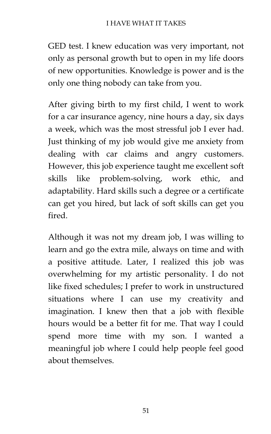GED test. I knew education was very important, not only as personal growth but to open in my life doors of new opportunities. Knowledge is power and is the only one thing nobody can take from you.

After giving birth to my first child, I went to work for a car insurance agency, nine hours a day, six days a week, which was the most stressful job I ever had. Just thinking of my job would give me anxiety from dealing with car claims and angry customers. However, this job experience taught me excellent soft skills like problem-solving, work ethic, and adaptability. Hard skills such a degree or a certificate can get you hired, but lack of soft skills can get you fired.

Although it was not my dream job, I was willing to learn and go the extra mile, always on time and with a positive attitude. Later, I realized this job was overwhelming for my artistic personality. I do not like fixed schedules; I prefer to work in unstructured situations where I can use my creativity and imagination. I knew then that a job with flexible hours would be a better fit for me. That way I could spend more time with my son. I wanted a meaningful job where I could help people feel good about themselves.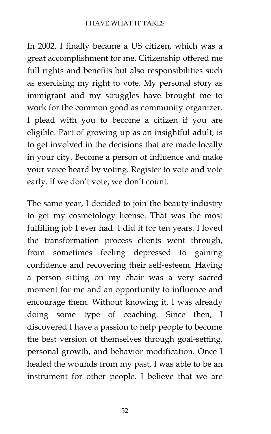In 2002, I finally became a US citizen, which was a great accomplishment for me. Citizenship offered me full rights and benefits but also responsibilities such as exercising my right to vote. My personal story as immigrant and my struggles have brought me to work for the common good as community organizer. I plead with you to become a citizen if you are eligible. Part of growing up as an insightful adult, is to get involved in the decisions that are made locally in your city. Become a person of influence and make your voice heard by voting. Register to vote and vote early. If we don't vote, we don't count.

The same year, I decided to join the beauty industry to get my cosmetology license. That was the most fulfilling job I ever had. I did it for ten years. I loved the transformation process clients went through, from sometimes feeling depressed to gaining confidence and recovering their self-esteem. Having a person sitting on my chair was a very sacred moment for me and an opportunity to influence and encourage them. Without knowing it, I was already doing some type of coaching. Since then, I discovered I have a passion to help people to become the best version of themselves through goal-setting, personal growth, and behavior modification. Once I healed the wounds from my past, I was able to be an instrument for other people. I believe that we are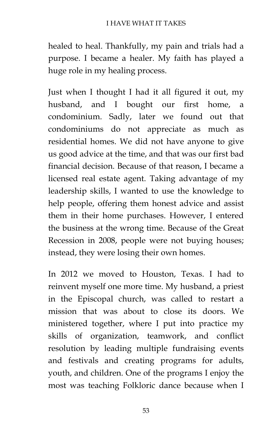healed to heal. Thankfully, my pain and trials had a purpose. I became a healer. My faith has played a huge role in my healing process.

Just when I thought I had it all figured it out, my husband, and I bought our first home, a condominium. Sadly, later we found out that condominiums do not appreciate as much as residential homes. We did not have anyone to give us good advice at the time, and that was our first bad financial decision. Because of that reason, I became a licensed real estate agent. Taking advantage of my leadership skills, I wanted to use the knowledge to help people, offering them honest advice and assist them in their home purchases. However, I entered the business at the wrong time. Because of the Great Recession in 2008, people were not buying houses; instead, they were losing their own homes.

In 2012 we moved to Houston, Texas. I had to reinvent myself one more time. My husband, a priest in the Episcopal church, was called to restart a mission that was about to close its doors. We ministered together, where I put into practice my skills of organization, teamwork, and conflict resolution by leading multiple fundraising events and festivals and creating programs for adults, youth, and children. One of the programs I enjoy the most was teaching Folkloric dance because when I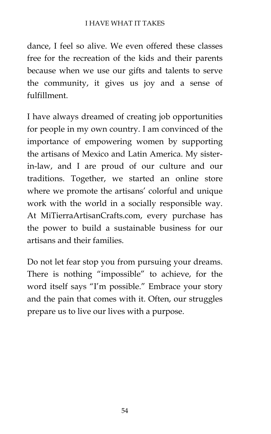dance, I feel so alive. We even offered these classes free for the recreation of the kids and their parents because when we use our gifts and talents to serve the community, it gives us joy and a sense of fulfillment.

I have always dreamed of creating job opportunities for people in my own country. I am convinced of the importance of empowering women by supporting the artisans of Mexico and Latin America. My sisterin-law, and I are proud of our culture and our traditions. Together, we started an online store where we promote the artisans' colorful and unique work with the world in a socially responsible way. At MiTierraArtisanCrafts.com, every purchase has the power to build a sustainable business for our artisans and their families.

Do not let fear stop you from pursuing your dreams. There is nothing "impossible" to achieve, for the word itself says "I'm possible." Embrace your story and the pain that comes with it. Often, our struggles prepare us to live our lives with a purpose.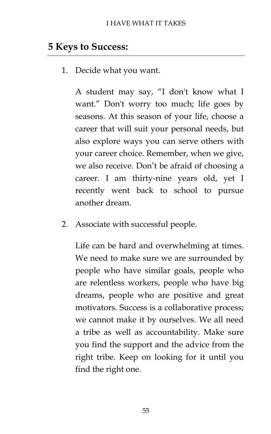# **5 Keys to Success:**

1. Decide what you want.

A student may say, "I don't know what I want." Don't worry too much; life goes by seasons. At this season of your life, choose a career that will suit your personal needs, but also explore ways you can serve others with your career choice. Remember, when we give, we also receive. Don't be afraid of choosing a career. I am thirty-nine years old, yet I recently went back to school to pursue another dream.

2. Associate with successful people.

Life can be hard and overwhelming at times. We need to make sure we are surrounded by people who have similar goals, people who are relentless workers, people who have big dreams, people who are positive and great motivators. Success is a collaborative process; we cannot make it by ourselves. We all need a tribe as well as accountability. Make sure you find the support and the advice from the right tribe. Keep on looking for it until you find the right one.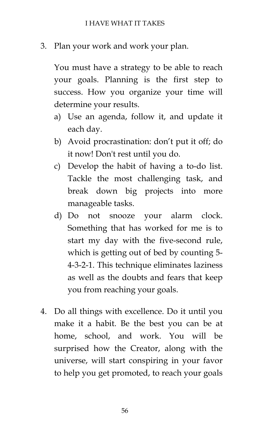3. Plan your work and work your plan.

You must have a strategy to be able to reach your goals. Planning is the first step to success. How you organize your time will determine your results.

- a) Use an agenda, follow it, and update it each day.
- b) Avoid procrastination: don't put it off; do it now! Don't rest until you do.
- c) Develop the habit of having a to-do list. Tackle the most challenging task, and break down big projects into more manageable tasks.
- d) Do not snooze your alarm clock. Something that has worked for me is to start my day with the five-second rule, which is getting out of bed by counting 5- 4-3-2-1. This technique eliminates laziness as well as the doubts and fears that keep you from reaching your goals.
- 4. Do all things with excellence. Do it until you make it a habit. Be the best you can be at home, school, and work. You will be surprised how the Creator, along with the universe, will start conspiring in your favor to help you get promoted, to reach your goals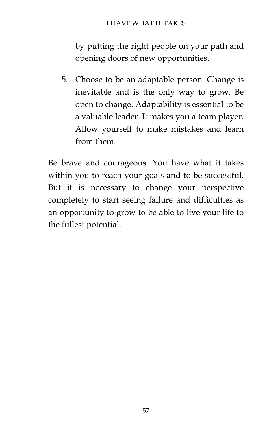### I HAVE WHAT IT TAKES

by putting the right people on your path and opening doors of new opportunities.

5. Choose to be an adaptable person. Change is inevitable and is the only way to grow. Be open to change. Adaptability is essential to be a valuable leader. It makes you a team player. Allow yourself to make mistakes and learn from them.

Be brave and courageous. You have what it takes within you to reach your goals and to be successful. But it is necessary to change your perspective completely to start seeing failure and difficulties as an opportunity to grow to be able to live your life to the fullest potential.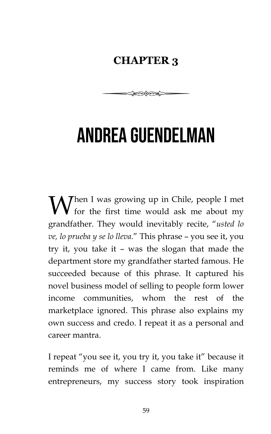# **CHAPTER 3**

$$
\underbrace{\hspace{2.5cm}}_{\text{min}}
$$

# Andrea Guendelman

When I was growing up in Chile, people I met<br>for the first time would ask me about my for the first time would ask me about my grandfather. They would inevitably recite, "*usted lo ve, lo prueba y se lo lleva.*" This phrase – you see it, you try it, you take it – was the slogan that made the department store my grandfather started famous. He succeeded because of this phrase. It captured his novel business model of selling to people form lower income communities, whom the rest of the marketplace ignored. This phrase also explains my own success and credo. I repeat it as a personal and career mantra.

I repeat "you see it, you try it, you take it" because it reminds me of where I came from. Like many entrepreneurs, my success story took inspiration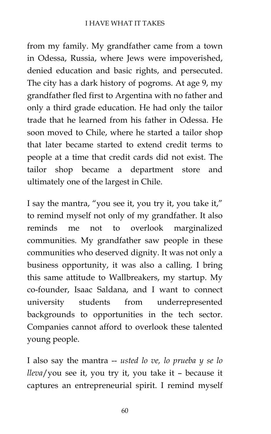from my family. My grandfather came from a town in Odessa, Russia, where Jews were impoverished, denied education and basic rights, and persecuted. The city has a dark history of pogroms. At age 9, my grandfather fled first to Argentina with no father and only a third grade education. He had only the tailor trade that he learned from his father in Odessa. He soon moved to Chile, where he started a tailor shop that later became started to extend credit terms to people at a time that credit cards did not exist. The tailor shop became a department store and ultimately one of the largest in Chile.

I say the mantra, "you see it, you try it, you take it," to remind myself not only of my grandfather. It also reminds me not to overlook marginalized communities. My grandfather saw people in these communities who deserved dignity. It was not only a business opportunity, it was also a calling. I bring this same attitude to Wallbreakers, my startup. My co-founder, Isaac Saldana, and I want to connect university students from underrepresented backgrounds to opportunities in the tech sector. Companies cannot afford to overlook these talented young people.

I also say the mantra -- *usted lo ve, lo prueba y se lo lleva*/you see it, you try it, you take it – because it captures an entrepreneurial spirit. I remind myself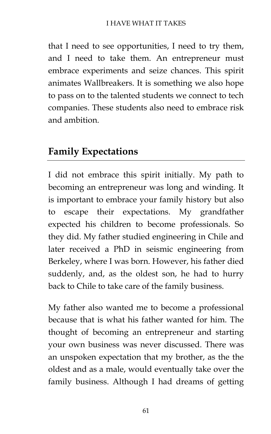that I need to see opportunities, I need to try them, and I need to take them. An entrepreneur must embrace experiments and seize chances. This spirit animates Wallbreakers. It is something we also hope to pass on to the talented students we connect to tech companies. These students also need to embrace risk and ambition.

# **Family Expectations**

I did not embrace this spirit initially. My path to becoming an entrepreneur was long and winding. It is important to embrace your family history but also to escape their expectations. My grandfather expected his children to become professionals. So they did. My father studied engineering in Chile and later received a PhD in seismic engineering from Berkeley, where I was born. However, his father died suddenly, and, as the oldest son, he had to hurry back to Chile to take care of the family business.

My father also wanted me to become a professional because that is what his father wanted for him. The thought of becoming an entrepreneur and starting your own business was never discussed. There was an unspoken expectation that my brother, as the the oldest and as a male, would eventually take over the family business. Although I had dreams of getting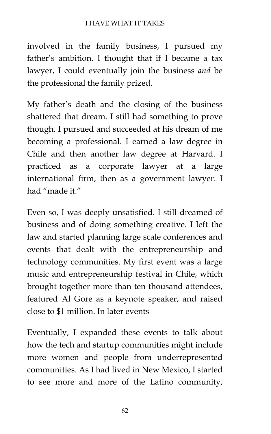### I HAVE WHAT IT TAKES

involved in the family business, I pursued my father's ambition. I thought that if I became a tax lawyer, I could eventually join the business *and* be the professional the family prized.

My father's death and the closing of the business shattered that dream. I still had something to prove though. I pursued and succeeded at his dream of me becoming a professional. I earned a law degree in Chile and then another law degree at Harvard. I practiced as a corporate lawyer at a large international firm, then as a government lawyer. I had "made it."

Even so, I was deeply unsatisfied. I still dreamed of business and of doing something creative. I left the law and started planning large scale conferences and events that dealt with the entrepreneurship and technology communities. My first event was a large music and entrepreneurship festival in Chile, which brought together more than ten thousand attendees, featured Al Gore as a keynote speaker, and raised close to \$1 million. In later events

Eventually, I expanded these events to talk about how the tech and startup communities might include more women and people from underrepresented communities. As I had lived in New Mexico, I started to see more and more of the Latino community,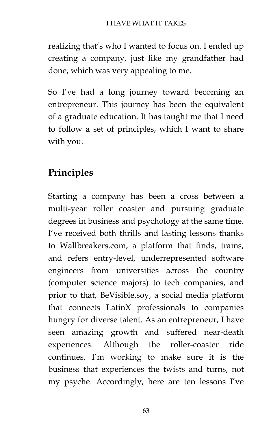realizing that's who I wanted to focus on. I ended up creating a company, just like my grandfather had done, which was very appealing to me.

So I've had a long journey toward becoming an entrepreneur. This journey has been the equivalent of a graduate education. It has taught me that I need to follow a set of principles, which I want to share with you.

# **Principles**

Starting a company has been a cross between a multi-year roller coaster and pursuing graduate degrees in business and psychology at the same time. I've received both thrills and lasting lessons thanks to Wallbreakers.com, a platform that finds, trains, and refers entry-level, underrepresented software engineers from universities across the country (computer science majors) to tech companies, and prior to that, BeVisible.soy, a social media platform that connects LatinX professionals to companies hungry for diverse talent. As an entrepreneur, I have seen amazing growth and suffered near-death experiences. Although the roller-coaster ride continues, I'm working to make sure it is the business that experiences the twists and turns, not my psyche. Accordingly, here are ten lessons I've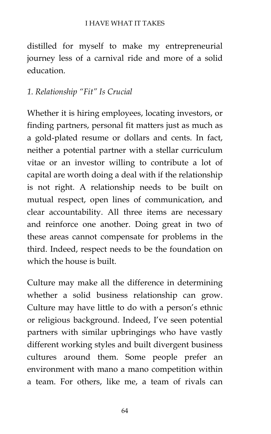distilled for myself to make my entrepreneurial journey less of a carnival ride and more of a solid education.

## *1. Relationship "Fit" Is Crucial*

Whether it is hiring employees, locating investors, or finding partners, personal fit matters just as much as a gold-plated resume or dollars and cents. In fact, neither a potential partner with a stellar curriculum vitae or an investor willing to contribute a lot of capital are worth doing a deal with if the relationship is not right. A relationship needs to be built on mutual respect, open lines of communication, and clear accountability. All three items are necessary and reinforce one another. Doing great in two of these areas cannot compensate for problems in the third. Indeed, respect needs to be the foundation on which the house is built.

Culture may make all the difference in determining whether a solid business relationship can grow. Culture may have little to do with a person's ethnic or religious background. Indeed, I've seen potential partners with similar upbringings who have vastly different working styles and built divergent business cultures around them. Some people prefer an environment with mano a mano competition within a team. For others, like me, a team of rivals can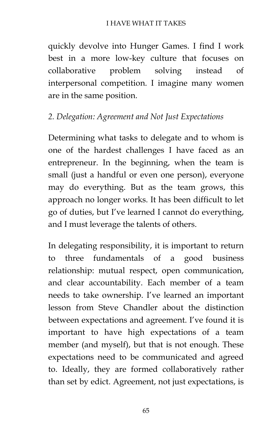quickly devolve into Hunger Games. I find I work best in a more low-key culture that focuses on collaborative problem solving instead of interpersonal competition. I imagine many women are in the same position.

## *2. Delegation: Agreement and Not Just Expectations*

Determining what tasks to delegate and to whom is one of the hardest challenges I have faced as an entrepreneur. In the beginning, when the team is small (just a handful or even one person), everyone may do everything. But as the team grows, this approach no longer works. It has been difficult to let go of duties, but I've learned I cannot do everything, and I must leverage the talents of others.

In delegating responsibility, it is important to return to three fundamentals of a good business relationship: mutual respect, open communication, and clear accountability. Each member of a team needs to take ownership. I've learned an important lesson from Steve Chandler about the distinction between expectations and agreement. I've found it is important to have high expectations of a team member (and myself), but that is not enough. These expectations need to be communicated and agreed to. Ideally, they are formed collaboratively rather than set by edict. Agreement, not just expectations, is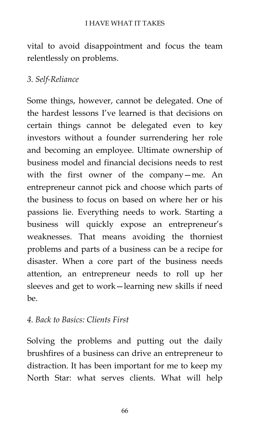vital to avoid disappointment and focus the team relentlessly on problems.

## *3. Self-Reliance*

Some things, however, cannot be delegated. One of the hardest lessons I've learned is that decisions on certain things cannot be delegated even to key investors without a founder surrendering her role and becoming an employee. Ultimate ownership of business model and financial decisions needs to rest with the first owner of the company—me. An entrepreneur cannot pick and choose which parts of the business to focus on based on where her or his passions lie. Everything needs to work. Starting a business will quickly expose an entrepreneur's weaknesses. That means avoiding the thorniest problems and parts of a business can be a recipe for disaster. When a core part of the business needs attention, an entrepreneur needs to roll up her sleeves and get to work—learning new skills if need be.

## *4. Back to Basics: Clients First*

Solving the problems and putting out the daily brushfires of a business can drive an entrepreneur to distraction. It has been important for me to keep my North Star: what serves clients. What will help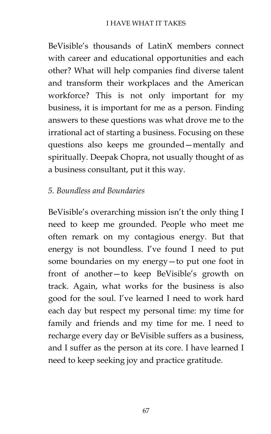BeVisible's thousands of LatinX members connect with career and educational opportunities and each other? What will help companies find diverse talent and transform their workplaces and the American workforce? This is not only important for my business, it is important for me as a person. Finding answers to these questions was what drove me to the irrational act of starting a business. Focusing on these questions also keeps me grounded—mentally and spiritually. Deepak Chopra, not usually thought of as a business consultant, put it this way.

## *5. Boundless and Boundaries*

BeVisible's overarching mission isn't the only thing I need to keep me grounded. People who meet me often remark on my contagious energy. But that energy is not boundless. I've found I need to put some boundaries on my energy—to put one foot in front of another—to keep BeVisible's growth on track. Again, what works for the business is also good for the soul. I've learned I need to work hard each day but respect my personal time: my time for family and friends and my time for me. I need to recharge every day or BeVisible suffers as a business, and I suffer as the person at its core. I have learned I need to keep seeking joy and practice gratitude.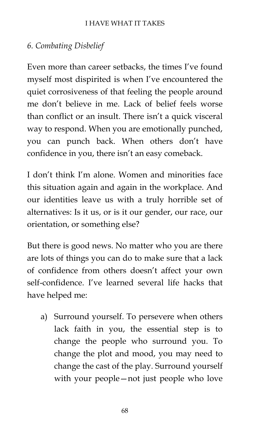## *6. Combating Disbelief*

Even more than career setbacks, the times I've found myself most dispirited is when I've encountered the quiet corrosiveness of that feeling the people around me don't believe in me. Lack of belief feels worse than conflict or an insult. There isn't a quick visceral way to respond. When you are emotionally punched, you can punch back. When others don't have confidence in you, there isn't an easy comeback.

I don't think I'm alone. Women and minorities face this situation again and again in the workplace. And our identities leave us with a truly horrible set of alternatives: Is it us, or is it our gender, our race, our orientation, or something else?

But there is good news. No matter who you are there are lots of things you can do to make sure that a lack of confidence from others doesn't affect your own self-confidence. I've learned several life hacks that have helped me:

a) Surround yourself. To persevere when others lack faith in you, the essential step is to change the people who surround you. To change the plot and mood, you may need to change the cast of the play. Surround yourself with your people—not just people who love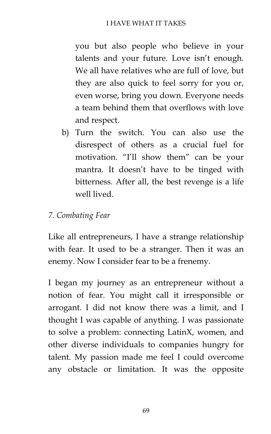you but also people who believe in your talents and your future. Love isn't enough. We all have relatives who are full of love, but they are also quick to feel sorry for you or, even worse, bring you down. Everyone needs a team behind them that overflows with love and respect.

- b) Turn the switch. You can also use the disrespect of others as a crucial fuel for motivation. "I'll show them" can be your mantra. It doesn't have to be tinged with bitterness. After all, the best revenge is a life well lived.
- *7. Combating Fear*

Like all entrepreneurs, I have a strange relationship with fear. It used to be a stranger. Then it was an enemy. Now I consider fear to be a frenemy.

I began my journey as an entrepreneur without a notion of fear. You might call it irresponsible or arrogant. I did not know there was a limit, and I thought I was capable of anything. I was passionate to solve a problem: connecting LatinX, women, and other diverse individuals to companies hungry for talent. My passion made me feel I could overcome any obstacle or limitation. It was the opposite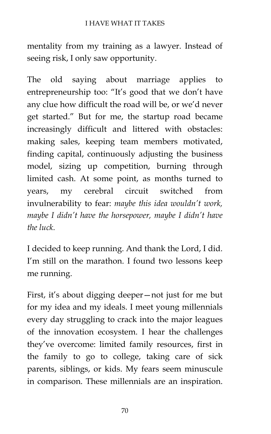### I HAVE WHAT IT TAKES

mentality from my training as a lawyer. Instead of seeing risk, I only saw opportunity.

The old saying about marriage applies to entrepreneurship too: "It's good that we don't have any clue how difficult the road will be, or we'd never get started." But for me, the startup road became increasingly difficult and littered with obstacles: making sales, keeping team members motivated, finding capital, continuously adjusting the business model, sizing up competition, burning through limited cash. At some point, as months turned to years, my cerebral circuit switched from invulnerability to fear: *maybe this idea wouldn't work, maybe I didn't have the horsepower, maybe I didn't have the luck.* 

I decided to keep running. And thank the Lord, I did. I'm still on the marathon. I found two lessons keep me running.

First, it's about digging deeper—not just for me but for my idea and my ideals. I meet young millennials every day struggling to crack into the major leagues of the innovation ecosystem. I hear the challenges they've overcome: limited family resources, first in the family to go to college, taking care of sick parents, siblings, or kids. My fears seem minuscule in comparison. These millennials are an inspiration.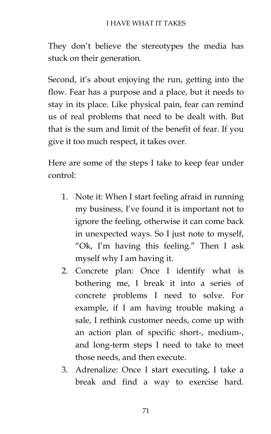They don't believe the stereotypes the media has stuck on their generation.

Second, it's about enjoying the run, getting into the flow. Fear has a purpose and a place, but it needs to stay in its place. Like physical pain, fear can remind us of real problems that need to be dealt with. But that is the sum and limit of the benefit of fear. If you give it too much respect, it takes over.

Here are some of the steps I take to keep fear under control:

- 1. Note it: When I start feeling afraid in running my business, I've found it is important not to ignore the feeling, otherwise it can come back in unexpected ways. So I just note to myself, "Ok, I'm having this feeling." Then I ask myself why I am having it.
- 2. Concrete plan: Once I identify what is bothering me, I break it into a series of concrete problems I need to solve. For example, if I am having trouble making a sale, I rethink customer needs, come up with an action plan of specific short-, medium-, and long-term steps I need to take to meet those needs, and then execute.
- 3. Adrenalize: Once I start executing, I take a break and find a way to exercise hard.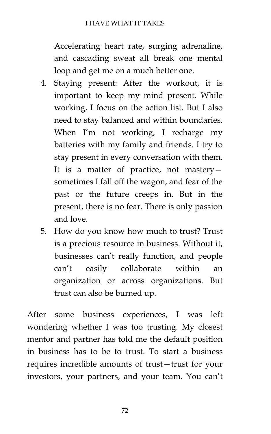Accelerating heart rate, surging adrenaline, and cascading sweat all break one mental loop and get me on a much better one.

- 4. Staying present: After the workout, it is important to keep my mind present. While working, I focus on the action list. But I also need to stay balanced and within boundaries. When I'm not working, I recharge my batteries with my family and friends. I try to stay present in every conversation with them. It is a matter of practice, not mastery sometimes I fall off the wagon, and fear of the past or the future creeps in. But in the present, there is no fear. There is only passion and love.
- 5. How do you know how much to trust? Trust is a precious resource in business. Without it, businesses can't really function, and people can't easily collaborate within an organization or across organizations. But trust can also be burned up.

After some business experiences, I was left wondering whether I was too trusting. My closest mentor and partner has told me the default position in business has to be to trust. To start a business requires incredible amounts of trust—trust for your investors, your partners, and your team. You can't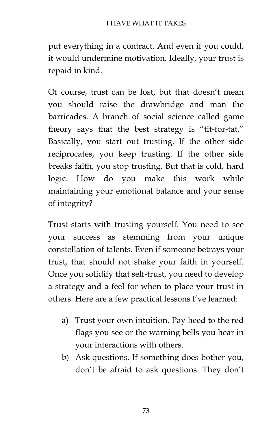put everything in a contract. And even if you could, it would undermine motivation. Ideally, your trust is repaid in kind.

Of course, trust can be lost, but that doesn't mean you should raise the drawbridge and man the barricades. A branch of social science called game theory says that the best strategy is "tit-for-tat." Basically, you start out trusting. If the other side reciprocates, you keep trusting. If the other side breaks faith, you stop trusting. But that is cold, hard logic. How do you make this work while maintaining your emotional balance and your sense of integrity?

Trust starts with trusting yourself. You need to see your success as stemming from your unique constellation of talents. Even if someone betrays your trust, that should not shake your faith in yourself. Once you solidify that self-trust, you need to develop a strategy and a feel for when to place your trust in others. Here are a few practical lessons I've learned:

- a) Trust your own intuition. Pay heed to the red flags you see or the warning bells you hear in your interactions with others.
- b) Ask questions. If something does bother you, don't be afraid to ask questions. They don't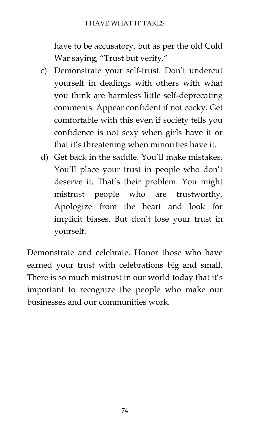have to be accusatory, but as per the old Cold War saying, "Trust but verify."

- c) Demonstrate your self-trust. Don't undercut yourself in dealings with others with what you think are harmless little self-deprecating comments. Appear confident if not cocky. Get comfortable with this even if society tells you confidence is not sexy when girls have it or that it's threatening when minorities have it.
- d) Get back in the saddle. You'll make mistakes. You'll place your trust in people who don't deserve it. That's their problem. You might mistrust people who are trustworthy. Apologize from the heart and look for implicit biases. But don't lose your trust in yourself.

Demonstrate and celebrate. Honor those who have earned your trust with celebrations big and small. There is so much mistrust in our world today that it's important to recognize the people who make our businesses and our communities work.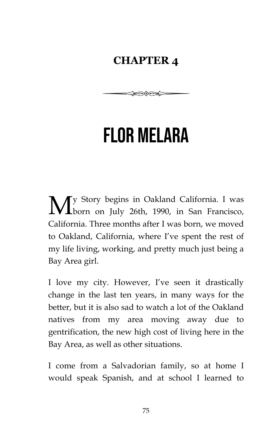## **CHAPTER 4**

$$
\overbrace{\hspace{4.5cm}}^{}
$$

# Flor Melara

y Story begins in Oakland California. I was **M** Story begins in Oakland California. I was born on July 26th, 1990, in San Francisco, California. Three months after I was born, we moved to Oakland, California, where I've spent the rest of my life living, working, and pretty much just being a Bay Area girl.

I love my city. However, I've seen it drastically change in the last ten years, in many ways for the better, but it is also sad to watch a lot of the Oakland natives from my area moving away due to gentrification, the new high cost of living here in the Bay Area, as well as other situations.

I come from a Salvadorian family, so at home I would speak Spanish, and at school I learned to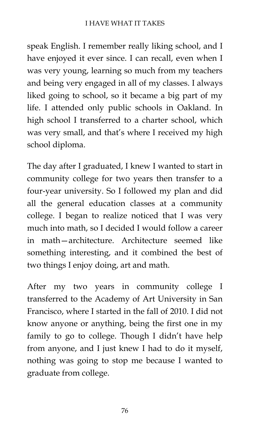speak English. I remember really liking school, and I have enjoyed it ever since. I can recall, even when I was very young, learning so much from my teachers and being very engaged in all of my classes. I always liked going to school, so it became a big part of my life. I attended only public schools in Oakland. In high school I transferred to a charter school, which was very small, and that's where I received my high school diploma.

The day after I graduated, I knew I wanted to start in community college for two years then transfer to a four-year university. So I followed my plan and did all the general education classes at a community college. I began to realize noticed that I was very much into math, so I decided I would follow a career in math—architecture. Architecture seemed like something interesting, and it combined the best of two things I enjoy doing, art and math.

After my two years in community college I transferred to the Academy of Art University in San Francisco, where I started in the fall of 2010. I did not know anyone or anything, being the first one in my family to go to college. Though I didn't have help from anyone, and I just knew I had to do it myself, nothing was going to stop me because I wanted to graduate from college.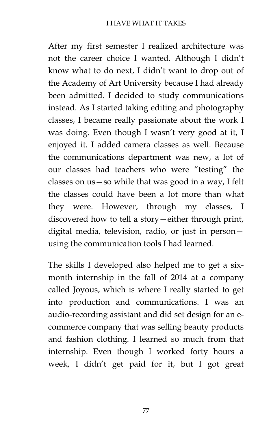After my first semester I realized architecture was not the career choice I wanted. Although I didn't know what to do next, I didn't want to drop out of the Academy of Art University because I had already been admitted. I decided to study communications instead. As I started taking editing and photography classes, I became really passionate about the work I was doing. Even though I wasn't very good at it, I enjoyed it. I added camera classes as well. Because the communications department was new, a lot of our classes had teachers who were "testing" the classes on us—so while that was good in a way, I felt the classes could have been a lot more than what they were. However, through my classes, I discovered how to tell a story—either through print, digital media, television, radio, or just in person using the communication tools I had learned.

The skills I developed also helped me to get a sixmonth internship in the fall of 2014 at a company called Joyous, which is where I really started to get into production and communications. I was an audio-recording assistant and did set design for an ecommerce company that was selling beauty products and fashion clothing. I learned so much from that internship. Even though I worked forty hours a week, I didn't get paid for it, but I got great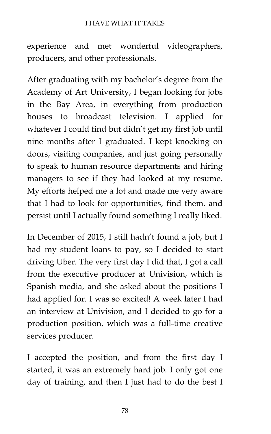experience and met wonderful videographers, producers, and other professionals.

After graduating with my bachelor's degree from the Academy of Art University, I began looking for jobs in the Bay Area, in everything from production houses to broadcast television. I applied for whatever I could find but didn't get my first job until nine months after I graduated. I kept knocking on doors, visiting companies, and just going personally to speak to human resource departments and hiring managers to see if they had looked at my resume. My efforts helped me a lot and made me very aware that I had to look for opportunities, find them, and persist until I actually found something I really liked.

In December of 2015, I still hadn't found a job, but I had my student loans to pay, so I decided to start driving Uber. The very first day I did that, I got a call from the executive producer at Univision, which is Spanish media, and she asked about the positions I had applied for. I was so excited! A week later I had an interview at Univision, and I decided to go for a production position, which was a full-time creative services producer.

I accepted the position, and from the first day I started, it was an extremely hard job. I only got one day of training, and then I just had to do the best I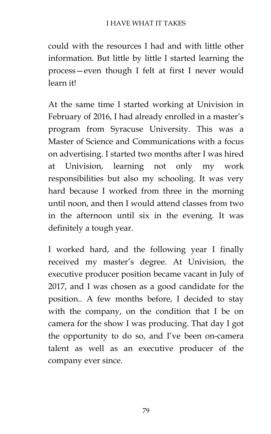could with the resources I had and with little other information. But little by little I started learning the process—even though I felt at first I never would learn it!

At the same time I started working at Univision in February of 2016, I had already enrolled in a master's program from Syracuse University. This was a Master of Science and Communications with a focus on advertising. I started two months after I was hired at Univision, learning not only my work responsibilities but also my schooling. It was very hard because I worked from three in the morning until noon, and then I would attend classes from two in the afternoon until six in the evening. It was definitely a tough year.

I worked hard, and the following year I finally received my master's degree. At Univision, the executive producer position became vacant in July of 2017, and I was chosen as a good candidate for the position.. A few months before, I decided to stay with the company, on the condition that I be on camera for the show I was producing. That day I got the opportunity to do so, and I've been on-camera talent as well as an executive producer of the company ever since.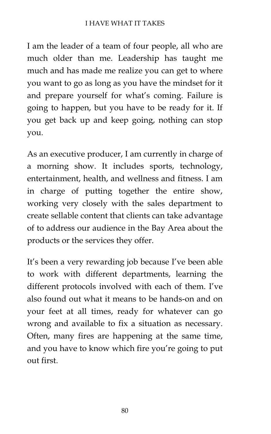I am the leader of a team of four people, all who are much older than me. Leadership has taught me much and has made me realize you can get to where you want to go as long as you have the mindset for it and prepare yourself for what's coming. Failure is going to happen, but you have to be ready for it. If you get back up and keep going, nothing can stop you.

As an executive producer, I am currently in charge of a morning show. It includes sports, technology, entertainment, health, and wellness and fitness. I am in charge of putting together the entire show, working very closely with the sales department to create sellable content that clients can take advantage of to address our audience in the Bay Area about the products or the services they offer.

It's been a very rewarding job because I've been able to work with different departments, learning the different protocols involved with each of them. I've also found out what it means to be hands-on and on your feet at all times, ready for whatever can go wrong and available to fix a situation as necessary. Often, many fires are happening at the same time, and you have to know which fire you're going to put out first.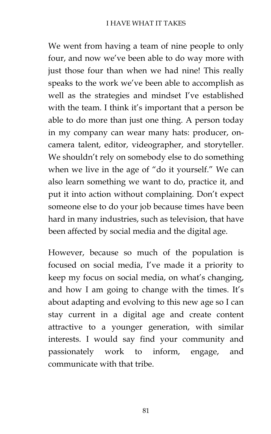We went from having a team of nine people to only four, and now we've been able to do way more with just those four than when we had nine! This really speaks to the work we've been able to accomplish as well as the strategies and mindset I've established with the team. I think it's important that a person be able to do more than just one thing. A person today in my company can wear many hats: producer, oncamera talent, editor, videographer, and storyteller. We shouldn't rely on somebody else to do something when we live in the age of "do it yourself." We can also learn something we want to do, practice it, and put it into action without complaining. Don't expect someone else to do your job because times have been hard in many industries, such as television, that have been affected by social media and the digital age.

However, because so much of the population is focused on social media, I've made it a priority to keep my focus on social media, on what's changing, and how I am going to change with the times. It's about adapting and evolving to this new age so I can stay current in a digital age and create content attractive to a younger generation, with similar interests. I would say find your community and passionately work to inform, engage, and communicate with that tribe.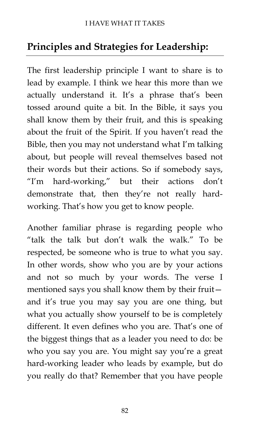### **Principles and Strategies for Leadership:**

The first leadership principle I want to share is to lead by example. I think we hear this more than we actually understand it. It's a phrase that's been tossed around quite a bit. In the Bible, it says you shall know them by their fruit, and this is speaking about the fruit of the Spirit. If you haven't read the Bible, then you may not understand what I'm talking about, but people will reveal themselves based not their words but their actions. So if somebody says, "I'm hard-working," but their actions don't demonstrate that, then they're not really hardworking. That's how you get to know people.

Another familiar phrase is regarding people who "talk the talk but don't walk the walk." To be respected, be someone who is true to what you say. In other words, show who you are by your actions and not so much by your words. The verse I mentioned says you shall know them by their fruit and it's true you may say you are one thing, but what you actually show yourself to be is completely different. It even defines who you are. That's one of the biggest things that as a leader you need to do: be who you say you are. You might say you're a great hard-working leader who leads by example, but do you really do that? Remember that you have people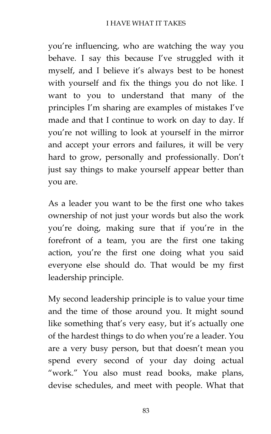you're influencing, who are watching the way you behave. I say this because I've struggled with it myself, and I believe it's always best to be honest with yourself and fix the things you do not like. I want to you to understand that many of the principles I'm sharing are examples of mistakes I've made and that I continue to work on day to day. If you're not willing to look at yourself in the mirror and accept your errors and failures, it will be very hard to grow, personally and professionally. Don't just say things to make yourself appear better than you are.

As a leader you want to be the first one who takes ownership of not just your words but also the work you're doing, making sure that if you're in the forefront of a team, you are the first one taking action, you're the first one doing what you said everyone else should do. That would be my first leadership principle.

My second leadership principle is to value your time and the time of those around you. It might sound like something that's very easy, but it's actually one of the hardest things to do when you're a leader. You are a very busy person, but that doesn't mean you spend every second of your day doing actual "work." You also must read books, make plans, devise schedules, and meet with people. What that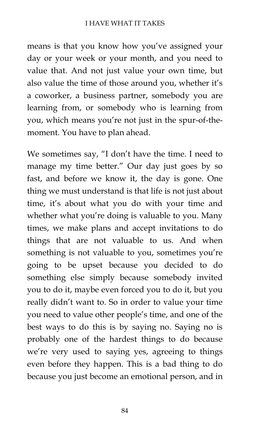means is that you know how you've assigned your day or your week or your month, and you need to value that. And not just value your own time, but also value the time of those around you, whether it's a coworker, a business partner, somebody you are learning from, or somebody who is learning from you, which means you're not just in the spur-of-themoment. You have to plan ahead.

We sometimes say, "I don't have the time. I need to manage my time better." Our day just goes by so fast, and before we know it, the day is gone. One thing we must understand is that life is not just about time, it's about what you do with your time and whether what you're doing is valuable to you. Many times, we make plans and accept invitations to do things that are not valuable to us. And when something is not valuable to you, sometimes you're going to be upset because you decided to do something else simply because somebody invited you to do it, maybe even forced you to do it, but you really didn't want to. So in order to value your time you need to value other people's time, and one of the best ways to do this is by saying no. Saying no is probably one of the hardest things to do because we're very used to saying yes, agreeing to things even before they happen. This is a bad thing to do because you just become an emotional person, and in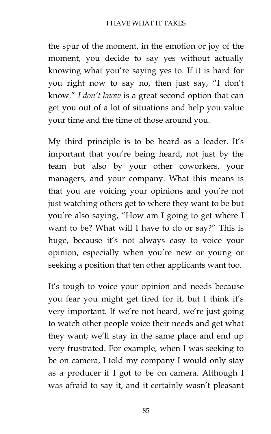the spur of the moment, in the emotion or joy of the moment, you decide to say yes without actually knowing what you're saying yes to. If it is hard for you right now to say no, then just say, "I don't know." *I don't know* is a great second option that can get you out of a lot of situations and help you value your time and the time of those around you.

My third principle is to be heard as a leader. It's important that you're being heard, not just by the team but also by your other coworkers, your managers, and your company. What this means is that you are voicing your opinions and you're not just watching others get to where they want to be but you're also saying, "How am I going to get where I want to be? What will I have to do or say?" This is huge, because it's not always easy to voice your opinion, especially when you're new or young or seeking a position that ten other applicants want too.

It's tough to voice your opinion and needs because you fear you might get fired for it, but I think it's very important. If we're not heard, we're just going to watch other people voice their needs and get what they want; we'll stay in the same place and end up very frustrated. For example, when I was seeking to be on camera, I told my company I would only stay as a producer if I got to be on camera. Although I was afraid to say it, and it certainly wasn't pleasant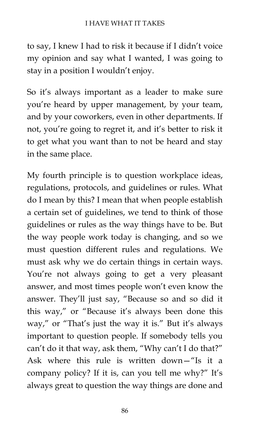to say, I knew I had to risk it because if I didn't voice my opinion and say what I wanted, I was going to stay in a position I wouldn't enjoy.

So it's always important as a leader to make sure you're heard by upper management, by your team, and by your coworkers, even in other departments. If not, you're going to regret it, and it's better to risk it to get what you want than to not be heard and stay in the same place.

My fourth principle is to question workplace ideas, regulations, protocols, and guidelines or rules. What do I mean by this? I mean that when people establish a certain set of guidelines, we tend to think of those guidelines or rules as the way things have to be. But the way people work today is changing, and so we must question different rules and regulations. We must ask why we do certain things in certain ways. You're not always going to get a very pleasant answer, and most times people won't even know the answer. They'll just say, "Because so and so did it this way," or "Because it's always been done this way," or "That's just the way it is." But it's always important to question people. If somebody tells you can't do it that way, ask them, "Why can't I do that?" Ask where this rule is written down—"Is it a company policy? If it is, can you tell me why?" It's always great to question the way things are done and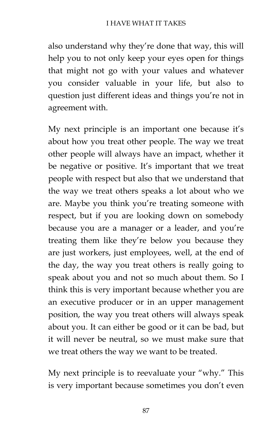also understand why they're done that way, this will help you to not only keep your eyes open for things that might not go with your values and whatever you consider valuable in your life, but also to question just different ideas and things you're not in agreement with.

My next principle is an important one because it's about how you treat other people. The way we treat other people will always have an impact, whether it be negative or positive. It's important that we treat people with respect but also that we understand that the way we treat others speaks a lot about who we are. Maybe you think you're treating someone with respect, but if you are looking down on somebody because you are a manager or a leader, and you're treating them like they're below you because they are just workers, just employees, well, at the end of the day, the way you treat others is really going to speak about you and not so much about them. So I think this is very important because whether you are an executive producer or in an upper management position, the way you treat others will always speak about you. It can either be good or it can be bad, but it will never be neutral, so we must make sure that we treat others the way we want to be treated.

My next principle is to reevaluate your "why." This is very important because sometimes you don't even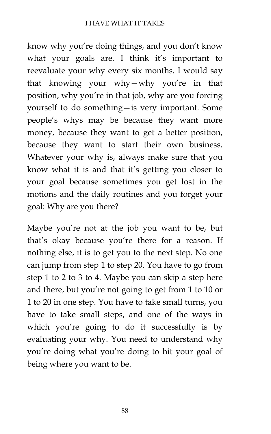know why you're doing things, and you don't know what your goals are. I think it's important to reevaluate your why every six months. I would say that knowing your why—why you're in that position, why you're in that job, why are you forcing yourself to do something—is very important. Some people's whys may be because they want more money, because they want to get a better position, because they want to start their own business. Whatever your why is, always make sure that you know what it is and that it's getting you closer to your goal because sometimes you get lost in the motions and the daily routines and you forget your goal: Why are you there?

Maybe you're not at the job you want to be, but that's okay because you're there for a reason. If nothing else, it is to get you to the next step. No one can jump from step 1 to step 20. You have to go from step 1 to 2 to 3 to 4. Maybe you can skip a step here and there, but you're not going to get from 1 to 10 or 1 to 20 in one step. You have to take small turns, you have to take small steps, and one of the ways in which you're going to do it successfully is by evaluating your why. You need to understand why you're doing what you're doing to hit your goal of being where you want to be.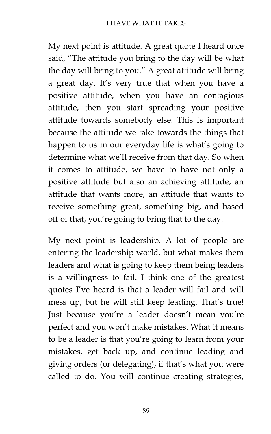My next point is attitude. A great quote I heard once said, "The attitude you bring to the day will be what the day will bring to you." A great attitude will bring a great day. It's very true that when you have a positive attitude, when you have an contagious attitude, then you start spreading your positive attitude towards somebody else. This is important because the attitude we take towards the things that happen to us in our everyday life is what's going to determine what we'll receive from that day. So when it comes to attitude, we have to have not only a positive attitude but also an achieving attitude, an attitude that wants more, an attitude that wants to receive something great, something big, and based off of that, you're going to bring that to the day.

My next point is leadership. A lot of people are entering the leadership world, but what makes them leaders and what is going to keep them being leaders is a willingness to fail. I think one of the greatest quotes I've heard is that a leader will fail and will mess up, but he will still keep leading. That's true! Just because you're a leader doesn't mean you're perfect and you won't make mistakes. What it means to be a leader is that you're going to learn from your mistakes, get back up, and continue leading and giving orders (or delegating), if that's what you were called to do. You will continue creating strategies,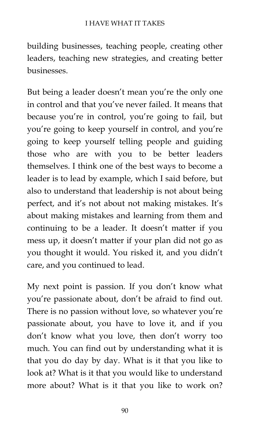building businesses, teaching people, creating other leaders, teaching new strategies, and creating better businesses.

But being a leader doesn't mean you're the only one in control and that you've never failed. It means that because you're in control, you're going to fail, but you're going to keep yourself in control, and you're going to keep yourself telling people and guiding those who are with you to be better leaders themselves. I think one of the best ways to become a leader is to lead by example, which I said before, but also to understand that leadership is not about being perfect, and it's not about not making mistakes. It's about making mistakes and learning from them and continuing to be a leader. It doesn't matter if you mess up, it doesn't matter if your plan did not go as you thought it would. You risked it, and you didn't care, and you continued to lead.

My next point is passion. If you don't know what you're passionate about, don't be afraid to find out. There is no passion without love, so whatever you're passionate about, you have to love it, and if you don't know what you love, then don't worry too much. You can find out by understanding what it is that you do day by day. What is it that you like to look at? What is it that you would like to understand more about? What is it that you like to work on?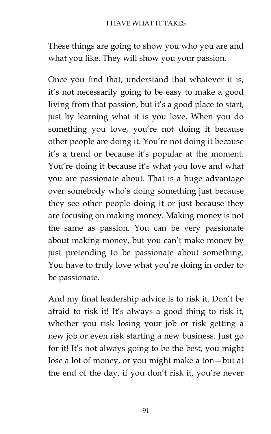These things are going to show you who you are and what you like. They will show you your passion.

Once you find that, understand that whatever it is, it's not necessarily going to be easy to make a good living from that passion, but it's a good place to start, just by learning what it is you love. When you do something you love, you're not doing it because other people are doing it. You're not doing it because it's a trend or because it's popular at the moment. You're doing it because it's what you love and what you are passionate about. That is a huge advantage over somebody who's doing something just because they see other people doing it or just because they are focusing on making money. Making money is not the same as passion. You can be very passionate about making money, but you can't make money by just pretending to be passionate about something. You have to truly love what you're doing in order to be passionate.

And my final leadership advice is to risk it. Don't be afraid to risk it! It's always a good thing to risk it, whether you risk losing your job or risk getting a new job or even risk starting a new business. Just go for it! It's not always going to be the best, you might lose a lot of money, or you might make a ton—but at the end of the day, if you don't risk it, you're never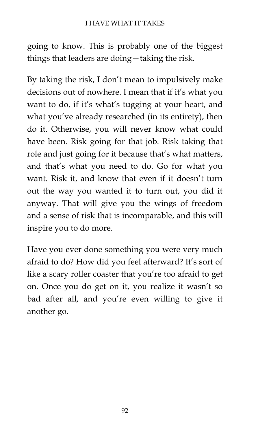going to know. This is probably one of the biggest things that leaders are doing—taking the risk.

By taking the risk, I don't mean to impulsively make decisions out of nowhere. I mean that if it's what you want to do, if it's what's tugging at your heart, and what you've already researched (in its entirety), then do it. Otherwise, you will never know what could have been. Risk going for that job. Risk taking that role and just going for it because that's what matters, and that's what you need to do. Go for what you want. Risk it, and know that even if it doesn't turn out the way you wanted it to turn out, you did it anyway. That will give you the wings of freedom and a sense of risk that is incomparable, and this will inspire you to do more.

Have you ever done something you were very much afraid to do? How did you feel afterward? It's sort of like a scary roller coaster that you're too afraid to get on. Once you do get on it, you realize it wasn't so bad after all, and you're even willing to give it another go.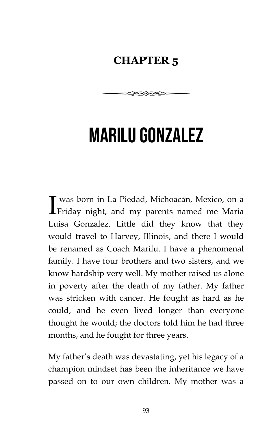## **CHAPTER 5**

$$
\underbrace{\hspace{2.5cm}}_{\text{max}}
$$

## Marilu Gonzalez

 was born in La Piedad, Michoacán, Mexico, on a I was born in La Piedad, Michoacán, Mexico, on a<br>I Friday night, and my parents named me Maria Luisa Gonzalez. Little did they know that they would travel to Harvey, Illinois, and there I would be renamed as Coach Marilu. I have a phenomenal family. I have four brothers and two sisters, and we know hardship very well. My mother raised us alone in poverty after the death of my father. My father was stricken with cancer. He fought as hard as he could, and he even lived longer than everyone thought he would; the doctors told him he had three months, and he fought for three years.

My father's death was devastating, yet his legacy of a champion mindset has been the inheritance we have passed on to our own children. My mother was a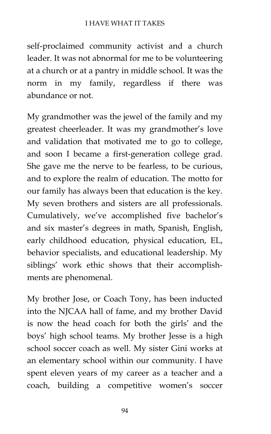self-proclaimed community activist and a church leader. It was not abnormal for me to be volunteering at a church or at a pantry in middle school. It was the norm in my family, regardless if there was abundance or not.

My grandmother was the jewel of the family and my greatest cheerleader. It was my grandmother's love and validation that motivated me to go to college, and soon I became a first-generation college grad. She gave me the nerve to be fearless, to be curious, and to explore the realm of education. The motto for our family has always been that education is the key. My seven brothers and sisters are all professionals. Cumulatively, we've accomplished five bachelor's and six master's degrees in math, Spanish, English, early childhood education, physical education, EL, behavior specialists, and educational leadership. My siblings' work ethic shows that their accomplishments are phenomenal.

My brother Jose, or Coach Tony, has been inducted into the NJCAA hall of fame, and my brother David is now the head coach for both the girls' and the boys' high school teams. My brother Jesse is a high school soccer coach as well. My sister Gini works at an elementary school within our community. I have spent eleven years of my career as a teacher and a coach, building a competitive women's soccer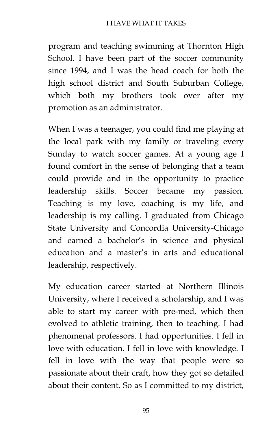program and teaching swimming at Thornton High School. I have been part of the soccer community since 1994, and I was the head coach for both the high school district and South Suburban College, which both my brothers took over after my promotion as an administrator.

When I was a teenager, you could find me playing at the local park with my family or traveling every Sunday to watch soccer games. At a young age I found comfort in the sense of belonging that a team could provide and in the opportunity to practice leadership skills. Soccer became my passion. Teaching is my love, coaching is my life, and leadership is my calling. I graduated from Chicago State University and Concordia University-Chicago and earned a bachelor's in science and physical education and a master's in arts and educational leadership, respectively.

My education career started at Northern Illinois University, where I received a scholarship, and I was able to start my career with pre-med, which then evolved to athletic training, then to teaching. I had phenomenal professors. I had opportunities. I fell in love with education. I fell in love with knowledge. I fell in love with the way that people were so passionate about their craft, how they got so detailed about their content. So as I committed to my district,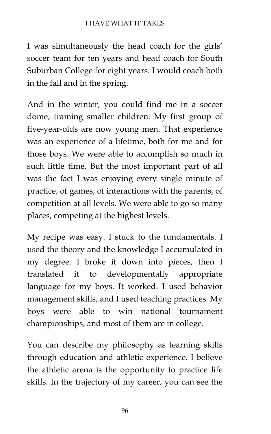I was simultaneously the head coach for the girls' soccer team for ten years and head coach for South Suburban College for eight years. I would coach both in the fall and in the spring.

And in the winter, you could find me in a soccer dome, training smaller children. My first group of five-year-olds are now young men. That experience was an experience of a lifetime, both for me and for those boys. We were able to accomplish so much in such little time. But the most important part of all was the fact I was enjoying every single minute of practice, of games, of interactions with the parents, of competition at all levels. We were able to go so many places, competing at the highest levels.

My recipe was easy. I stuck to the fundamentals. I used the theory and the knowledge I accumulated in my degree. I broke it down into pieces, then I translated it to developmentally appropriate language for my boys. It worked. I used behavior management skills, and I used teaching practices. My boys were able to win national tournament championships, and most of them are in college.

You can describe my philosophy as learning skills through education and athletic experience. I believe the athletic arena is the opportunity to practice life skills. In the trajectory of my career, you can see the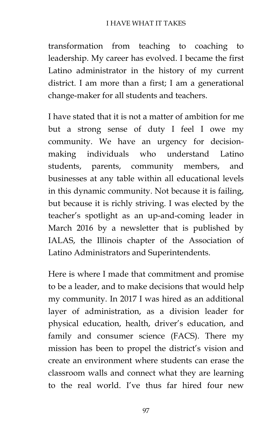transformation from teaching to coaching to leadership. My career has evolved. I became the first Latino administrator in the history of my current district. I am more than a first; I am a generational change-maker for all students and teachers.

I have stated that it is not a matter of ambition for me but a strong sense of duty I feel I owe my community. We have an urgency for decisionmaking individuals who understand Latino students, parents, community members, and businesses at any table within all educational levels in this dynamic community. Not because it is failing, but because it is richly striving. I was elected by the teacher's spotlight as an up-and-coming leader in March 2016 by a newsletter that is published by IALAS, the Illinois chapter of the Association of Latino Administrators and Superintendents.

Here is where I made that commitment and promise to be a leader, and to make decisions that would help my community. In 2017 I was hired as an additional layer of administration, as a division leader for physical education, health, driver's education, and family and consumer science (FACS). There my mission has been to propel the district's vision and create an environment where students can erase the classroom walls and connect what they are learning to the real world. I've thus far hired four new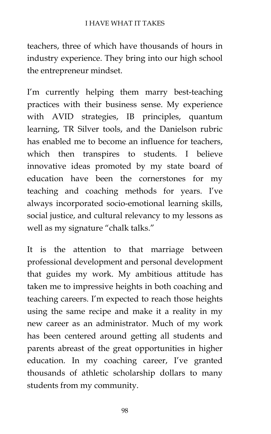teachers, three of which have thousands of hours in industry experience. They bring into our high school the entrepreneur mindset.

I'm currently helping them marry best-teaching practices with their business sense. My experience with AVID strategies, IB principles, quantum learning, TR Silver tools, and the Danielson rubric has enabled me to become an influence for teachers, which then transpires to students. I believe innovative ideas promoted by my state board of education have been the cornerstones for my teaching and coaching methods for years. I've always incorporated socio-emotional learning skills, social justice, and cultural relevancy to my lessons as well as my signature "chalk talks."

It is the attention to that marriage between professional development and personal development that guides my work. My ambitious attitude has taken me to impressive heights in both coaching and teaching careers. I'm expected to reach those heights using the same recipe and make it a reality in my new career as an administrator. Much of my work has been centered around getting all students and parents abreast of the great opportunities in higher education. In my coaching career, I've granted thousands of athletic scholarship dollars to many students from my community.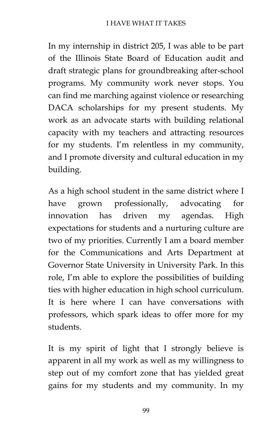In my internship in district 205, I was able to be part of the Illinois State Board of Education audit and draft strategic plans for groundbreaking after-school programs. My community work never stops. You can find me marching against violence or researching DACA scholarships for my present students. My work as an advocate starts with building relational capacity with my teachers and attracting resources for my students. I'm relentless in my community, and I promote diversity and cultural education in my building.

As a high school student in the same district where I have grown professionally, advocating for innovation has driven my agendas. High expectations for students and a nurturing culture are two of my priorities. Currently I am a board member for the Communications and Arts Department at Governor State University in University Park. In this role, I'm able to explore the possibilities of building ties with higher education in high school curriculum. It is here where I can have conversations with professors, which spark ideas to offer more for my students.

It is my spirit of light that I strongly believe is apparent in all my work as well as my willingness to step out of my comfort zone that has yielded great gains for my students and my community. In my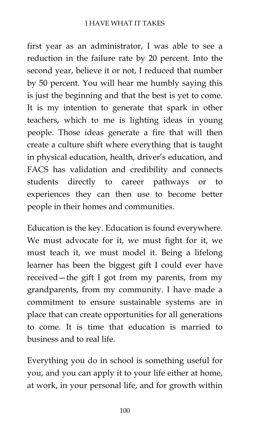first year as an administrator, I was able to see a reduction in the failure rate by 20 percent. Into the second year, believe it or not, I reduced that number by 50 percent. You will hear me humbly saying this is just the beginning and that the best is yet to come. It is my intention to generate that spark in other teachers, which to me is lighting ideas in young people. Those ideas generate a fire that will then create a culture shift where everything that is taught in physical education, health, driver's education, and FACS has validation and credibility and connects students directly to career pathways or to experiences they can then use to become better people in their homes and communities.

Education is the key. Education is found everywhere. We must advocate for it, we must fight for it, we must teach it, we must model it. Being a lifelong learner has been the biggest gift I could ever have received—the gift I got from my parents, from my grandparents, from my community. I have made a commitment to ensure sustainable systems are in place that can create opportunities for all generations to come. It is time that education is married to business and to real life.

Everything you do in school is something useful for you, and you can apply it to your life either at home, at work, in your personal life, and for growth within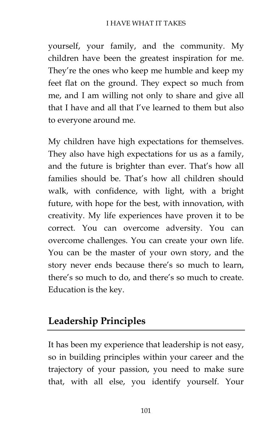yourself, your family, and the community. My children have been the greatest inspiration for me. They're the ones who keep me humble and keep my feet flat on the ground. They expect so much from me, and I am willing not only to share and give all that I have and all that I've learned to them but also to everyone around me.

My children have high expectations for themselves. They also have high expectations for us as a family, and the future is brighter than ever. That's how all families should be. That's how all children should walk, with confidence, with light, with a bright future, with hope for the best, with innovation, with creativity. My life experiences have proven it to be correct. You can overcome adversity. You can overcome challenges. You can create your own life. You can be the master of your own story, and the story never ends because there's so much to learn, there's so much to do, and there's so much to create. Education is the key.

## **Leadership Principles**

It has been my experience that leadership is not easy, so in building principles within your career and the trajectory of your passion, you need to make sure that, with all else, you identify yourself. Your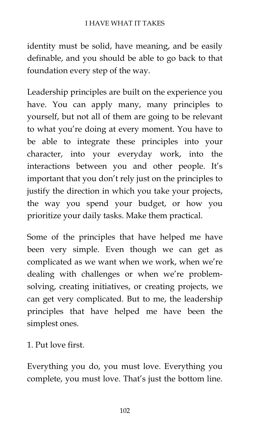identity must be solid, have meaning, and be easily definable, and you should be able to go back to that foundation every step of the way.

Leadership principles are built on the experience you have. You can apply many, many principles to yourself, but not all of them are going to be relevant to what you're doing at every moment. You have to be able to integrate these principles into your character, into your everyday work, into the interactions between you and other people. It's important that you don't rely just on the principles to justify the direction in which you take your projects, the way you spend your budget, or how you prioritize your daily tasks. Make them practical.

Some of the principles that have helped me have been very simple. Even though we can get as complicated as we want when we work, when we're dealing with challenges or when we're problemsolving, creating initiatives, or creating projects, we can get very complicated. But to me, the leadership principles that have helped me have been the simplest ones.

1. Put love first.

Everything you do, you must love. Everything you complete, you must love. That's just the bottom line.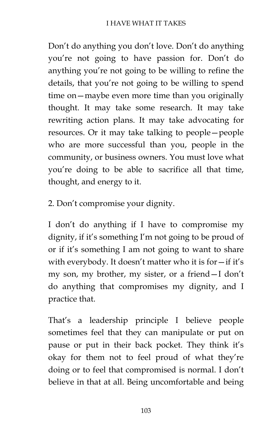Don't do anything you don't love. Don't do anything you're not going to have passion for. Don't do anything you're not going to be willing to refine the details, that you're not going to be willing to spend time on—maybe even more time than you originally thought. It may take some research. It may take rewriting action plans. It may take advocating for resources. Or it may take talking to people—people who are more successful than you, people in the community, or business owners. You must love what you're doing to be able to sacrifice all that time, thought, and energy to it.

2. Don't compromise your dignity.

I don't do anything if I have to compromise my dignity, if it's something I'm not going to be proud of or if it's something I am not going to want to share with everybody. It doesn't matter who it is for—if it's my son, my brother, my sister, or a friend—I don't do anything that compromises my dignity, and I practice that.

That's a leadership principle I believe people sometimes feel that they can manipulate or put on pause or put in their back pocket. They think it's okay for them not to feel proud of what they're doing or to feel that compromised is normal. I don't believe in that at all. Being uncomfortable and being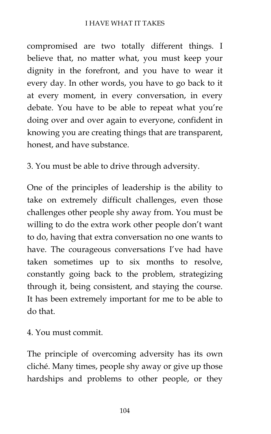compromised are two totally different things. I believe that, no matter what, you must keep your dignity in the forefront, and you have to wear it every day. In other words, you have to go back to it at every moment, in every conversation, in every debate. You have to be able to repeat what you're doing over and over again to everyone, confident in knowing you are creating things that are transparent, honest, and have substance.

3. You must be able to drive through adversity.

One of the principles of leadership is the ability to take on extremely difficult challenges, even those challenges other people shy away from. You must be willing to do the extra work other people don't want to do, having that extra conversation no one wants to have. The courageous conversations I've had have taken sometimes up to six months to resolve, constantly going back to the problem, strategizing through it, being consistent, and staying the course. It has been extremely important for me to be able to do that.

4. You must commit.

The principle of overcoming adversity has its own cliché. Many times, people shy away or give up those hardships and problems to other people, or they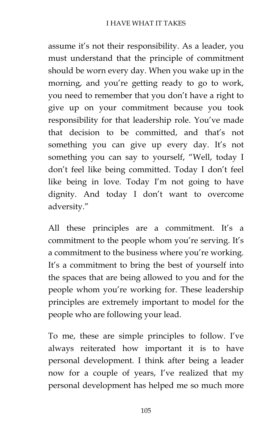assume it's not their responsibility. As a leader, you must understand that the principle of commitment should be worn every day. When you wake up in the morning, and you're getting ready to go to work, you need to remember that you don't have a right to give up on your commitment because you took responsibility for that leadership role. You've made that decision to be committed, and that's not something you can give up every day. It's not something you can say to yourself, "Well, today I don't feel like being committed. Today I don't feel like being in love. Today I'm not going to have dignity. And today I don't want to overcome adversity."

All these principles are a commitment. It's a commitment to the people whom you're serving. It's a commitment to the business where you're working. It's a commitment to bring the best of yourself into the spaces that are being allowed to you and for the people whom you're working for. These leadership principles are extremely important to model for the people who are following your lead.

To me, these are simple principles to follow. I've always reiterated how important it is to have personal development. I think after being a leader now for a couple of years, I've realized that my personal development has helped me so much more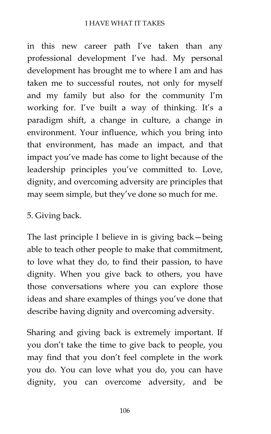in this new career path I've taken than any professional development I've had. My personal development has brought me to where I am and has taken me to successful routes, not only for myself and my family but also for the community I'm working for. I've built a way of thinking. It's a paradigm shift, a change in culture, a change in environment. Your influence, which you bring into that environment, has made an impact, and that impact you've made has come to light because of the leadership principles you've committed to. Love, dignity, and overcoming adversity are principles that may seem simple, but they've done so much for me.

### 5. Giving back.

The last principle I believe in is giving back—being able to teach other people to make that commitment, to love what they do, to find their passion, to have dignity. When you give back to others, you have those conversations where you can explore those ideas and share examples of things you've done that describe having dignity and overcoming adversity.

Sharing and giving back is extremely important. If you don't take the time to give back to people, you may find that you don't feel complete in the work you do. You can love what you do, you can have dignity, you can overcome adversity, and be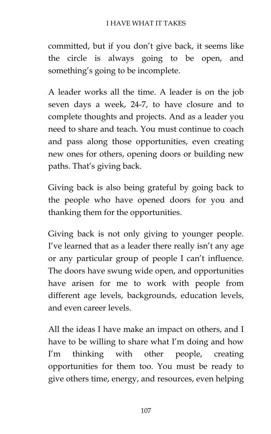committed, but if you don't give back, it seems like the circle is always going to be open, and something's going to be incomplete.

A leader works all the time. A leader is on the job seven days a week, 24-7, to have closure and to complete thoughts and projects. And as a leader you need to share and teach. You must continue to coach and pass along those opportunities, even creating new ones for others, opening doors or building new paths. That's giving back.

Giving back is also being grateful by going back to the people who have opened doors for you and thanking them for the opportunities.

Giving back is not only giving to younger people. I've learned that as a leader there really isn't any age or any particular group of people I can't influence. The doors have swung wide open, and opportunities have arisen for me to work with people from different age levels, backgrounds, education levels, and even career levels.

All the ideas I have make an impact on others, and I have to be willing to share what I'm doing and how I'm thinking with other people, creating opportunities for them too. You must be ready to give others time, energy, and resources, even helping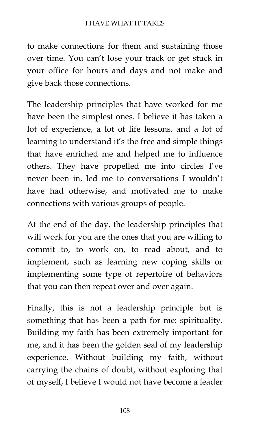to make connections for them and sustaining those over time. You can't lose your track or get stuck in your office for hours and days and not make and give back those connections.

The leadership principles that have worked for me have been the simplest ones. I believe it has taken a lot of experience, a lot of life lessons, and a lot of learning to understand it's the free and simple things that have enriched me and helped me to influence others. They have propelled me into circles I've never been in, led me to conversations I wouldn't have had otherwise, and motivated me to make connections with various groups of people.

At the end of the day, the leadership principles that will work for you are the ones that you are willing to commit to, to work on, to read about, and to implement, such as learning new coping skills or implementing some type of repertoire of behaviors that you can then repeat over and over again.

Finally, this is not a leadership principle but is something that has been a path for me: spirituality. Building my faith has been extremely important for me, and it has been the golden seal of my leadership experience. Without building my faith, without carrying the chains of doubt, without exploring that of myself, I believe I would not have become a leader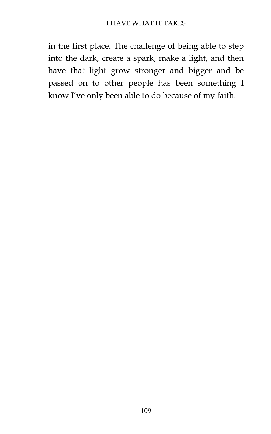in the first place. The challenge of being able to step into the dark, create a spark, make a light, and then have that light grow stronger and bigger and be passed on to other people has been something I know I've only been able to do because of my faith.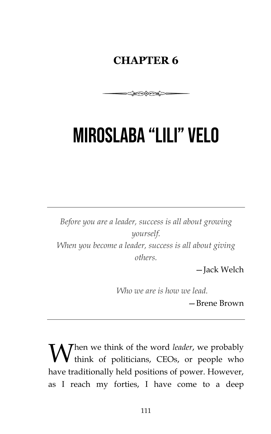## **CHAPTER 6**

$$
\overbrace{\hspace{4.5cm}}^{\hspace{4.5cm}\longrightarrow\hspace{4.5cm}\longrightarrow\hspace{4.5cm}\longrightarrow\hspace{4.5cm}\longrightarrow\hspace{4.5cm}\longrightarrow}
$$

## Miroslaba "Lili" Velo

*Before you are a leader, success is all about growing yourself. When you become a leader, success is all about giving others.* 

—Jack Welch

*Who we are is how we lead.* 

—Brene Brown

hen we think of the word *leader*, we probably When we think of the word *leader*, we probably think of politicians, CEOs, or people who have traditionally held positions of power. However, as I reach my forties, I have come to a deep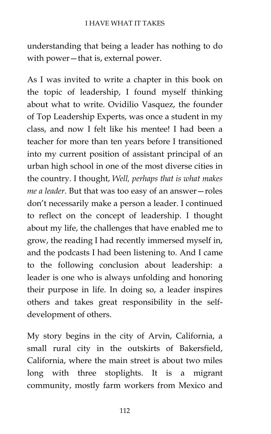understanding that being a leader has nothing to do with power—that is, external power.

As I was invited to write a chapter in this book on the topic of leadership, I found myself thinking about what to write. Ovidilio Vasquez, the founder of Top Leadership Experts, was once a student in my class, and now I felt like his mentee! I had been a teacher for more than ten years before I transitioned into my current position of assistant principal of an urban high school in one of the most diverse cities in the country. I thought, *Well, perhaps that is what makes me a leader*. But that was too easy of an answer—roles don't necessarily make a person a leader. I continued to reflect on the concept of leadership. I thought about my life, the challenges that have enabled me to grow, the reading I had recently immersed myself in, and the podcasts I had been listening to. And I came to the following conclusion about leadership: a leader is one who is always unfolding and honoring their purpose in life. In doing so, a leader inspires others and takes great responsibility in the selfdevelopment of others.

My story begins in the city of Arvin, California, a small rural city in the outskirts of Bakersfield, California, where the main street is about two miles long with three stoplights. It is a migrant community, mostly farm workers from Mexico and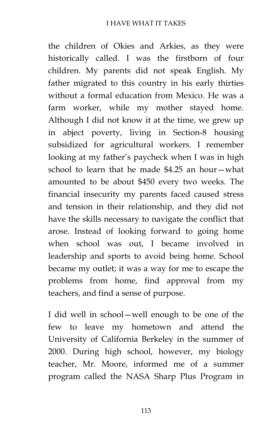the children of Okies and Arkies, as they were historically called. I was the firstborn of four children. My parents did not speak English. My father migrated to this country in his early thirties without a formal education from Mexico. He was a farm worker, while my mother stayed home. Although I did not know it at the time, we grew up in abject poverty, living in Section-8 housing subsidized for agricultural workers. I remember looking at my father's paycheck when I was in high school to learn that he made \$4.25 an hour—what amounted to be about \$450 every two weeks. The financial insecurity my parents faced caused stress and tension in their relationship, and they did not have the skills necessary to navigate the conflict that arose. Instead of looking forward to going home when school was out, I became involved in leadership and sports to avoid being home. School became my outlet; it was a way for me to escape the problems from home, find approval from my teachers, and find a sense of purpose.

I did well in school—well enough to be one of the few to leave my hometown and attend the University of California Berkeley in the summer of 2000. During high school, however, my biology teacher, Mr. Moore, informed me of a summer program called the NASA Sharp Plus Program in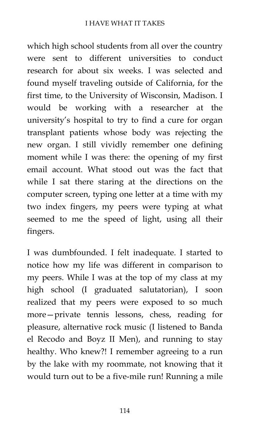which high school students from all over the country were sent to different universities to conduct research for about six weeks. I was selected and found myself traveling outside of California, for the first time, to the University of Wisconsin, Madison. I would be working with a researcher at the university's hospital to try to find a cure for organ transplant patients whose body was rejecting the new organ. I still vividly remember one defining moment while I was there: the opening of my first email account. What stood out was the fact that while I sat there staring at the directions on the computer screen, typing one letter at a time with my two index fingers, my peers were typing at what seemed to me the speed of light, using all their fingers.

I was dumbfounded. I felt inadequate. I started to notice how my life was different in comparison to my peers. While I was at the top of my class at my high school (I graduated salutatorian), I soon realized that my peers were exposed to so much more—private tennis lessons, chess, reading for pleasure, alternative rock music (I listened to Banda el Recodo and Boyz II Men), and running to stay healthy. Who knew?! I remember agreeing to a run by the lake with my roommate, not knowing that it would turn out to be a five-mile run! Running a mile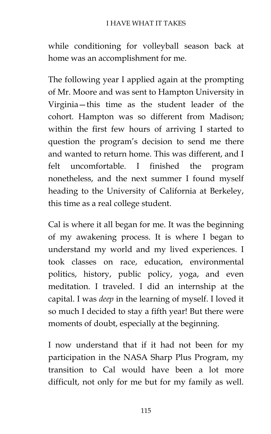#### I HAVE WHAT IT TAKES

while conditioning for volleyball season back at home was an accomplishment for me.

The following year I applied again at the prompting of Mr. Moore and was sent to Hampton University in Virginia—this time as the student leader of the cohort. Hampton was so different from Madison; within the first few hours of arriving I started to question the program's decision to send me there and wanted to return home. This was different, and I felt uncomfortable. I finished the program nonetheless, and the next summer I found myself heading to the University of California at Berkeley, this time as a real college student.

Cal is where it all began for me. It was the beginning of my awakening process. It is where I began to understand my world and my lived experiences. I took classes on race, education, environmental politics, history, public policy, yoga, and even meditation. I traveled. I did an internship at the capital. I was *deep* in the learning of myself. I loved it so much I decided to stay a fifth year! But there were moments of doubt, especially at the beginning.

I now understand that if it had not been for my participation in the NASA Sharp Plus Program, my transition to Cal would have been a lot more difficult, not only for me but for my family as well.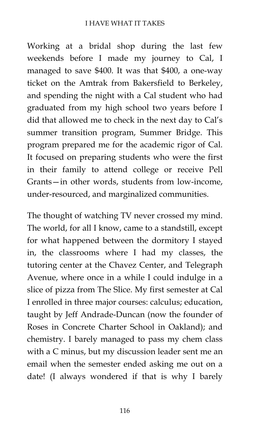Working at a bridal shop during the last few weekends before I made my journey to Cal, I managed to save \$400. It was that \$400, a one-way ticket on the Amtrak from Bakersfield to Berkeley, and spending the night with a Cal student who had graduated from my high school two years before I did that allowed me to check in the next day to Cal's summer transition program, Summer Bridge. This program prepared me for the academic rigor of Cal. It focused on preparing students who were the first in their family to attend college or receive Pell Grants—in other words, students from low-income, under-resourced, and marginalized communities.

The thought of watching TV never crossed my mind. The world, for all I know, came to a standstill, except for what happened between the dormitory I stayed in, the classrooms where I had my classes, the tutoring center at the Chavez Center, and Telegraph Avenue, where once in a while I could indulge in a slice of pizza from The Slice. My first semester at Cal I enrolled in three major courses: calculus; education, taught by Jeff Andrade-Duncan (now the founder of Roses in Concrete Charter School in Oakland); and chemistry. I barely managed to pass my chem class with a C minus, but my discussion leader sent me an email when the semester ended asking me out on a date! (I always wondered if that is why I barely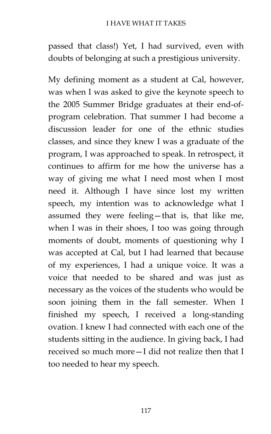passed that class!) Yet, I had survived, even with doubts of belonging at such a prestigious university.

My defining moment as a student at Cal, however, was when I was asked to give the keynote speech to the 2005 Summer Bridge graduates at their end-ofprogram celebration. That summer I had become a discussion leader for one of the ethnic studies classes, and since they knew I was a graduate of the program, I was approached to speak. In retrospect, it continues to affirm for me how the universe has a way of giving me what I need most when I most need it. Although I have since lost my written speech, my intention was to acknowledge what I assumed they were feeling—that is, that like me, when I was in their shoes, I too was going through moments of doubt, moments of questioning why I was accepted at Cal, but I had learned that because of my experiences, I had a unique voice. It was a voice that needed to be shared and was just as necessary as the voices of the students who would be soon joining them in the fall semester. When I finished my speech, I received a long-standing ovation. I knew I had connected with each one of the students sitting in the audience. In giving back, I had received so much more—I did not realize then that I too needed to hear my speech.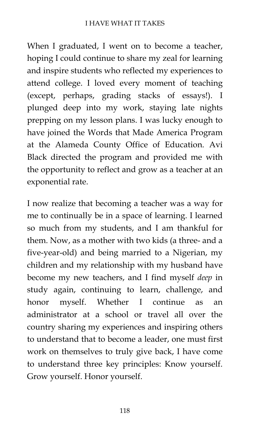When I graduated, I went on to become a teacher, hoping I could continue to share my zeal for learning and inspire students who reflected my experiences to attend college. I loved every moment of teaching (except, perhaps, grading stacks of essays!). I plunged deep into my work, staying late nights prepping on my lesson plans. I was lucky enough to have joined the Words that Made America Program at the Alameda County Office of Education. Avi Black directed the program and provided me with the opportunity to reflect and grow as a teacher at an exponential rate.

I now realize that becoming a teacher was a way for me to continually be in a space of learning. I learned so much from my students, and I am thankful for them. Now, as a mother with two kids (a three- and a five-year-old) and being married to a Nigerian, my children and my relationship with my husband have become my new teachers, and I find myself *deep* in study again, continuing to learn, challenge, and honor myself. Whether I continue as an administrator at a school or travel all over the country sharing my experiences and inspiring others to understand that to become a leader, one must first work on themselves to truly give back, I have come to understand three key principles: Know yourself. Grow yourself. Honor yourself.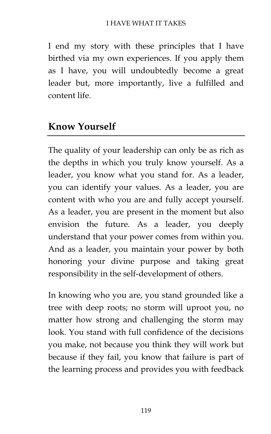I end my story with these principles that I have birthed via my own experiences. If you apply them as I have, you will undoubtedly become a great leader but, more importantly, live a fulfilled and content life.

## **Know Yourself**

The quality of your leadership can only be as rich as the depths in which you truly know yourself. As a leader, you know what you stand for. As a leader, you can identify your values. As a leader, you are content with who you are and fully accept yourself. As a leader, you are present in the moment but also envision the future. As a leader, you deeply understand that your power comes from within you. And as a leader, you maintain your power by both honoring your divine purpose and taking great responsibility in the self-development of others.

In knowing who you are, you stand grounded like a tree with deep roots; no storm will uproot you, no matter how strong and challenging the storm may look. You stand with full confidence of the decisions you make, not because you think they will work but because if they fail, you know that failure is part of the learning process and provides you with feedback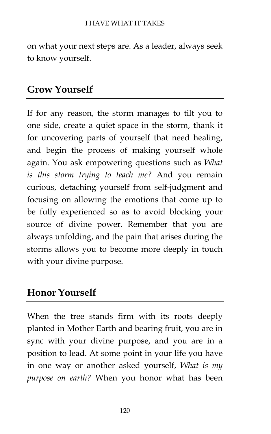on what your next steps are. As a leader, always seek to know yourself.

## **Grow Yourself**

If for any reason, the storm manages to tilt you to one side, create a quiet space in the storm, thank it for uncovering parts of yourself that need healing, and begin the process of making yourself whole again. You ask empowering questions such as *What is this storm trying to teach me?* And you remain curious, detaching yourself from self-judgment and focusing on allowing the emotions that come up to be fully experienced so as to avoid blocking your source of divine power. Remember that you are always unfolding, and the pain that arises during the storms allows you to become more deeply in touch with your divine purpose.

## **Honor Yourself**

When the tree stands firm with its roots deeply planted in Mother Earth and bearing fruit, you are in sync with your divine purpose, and you are in a position to lead. At some point in your life you have in one way or another asked yourself, *What is my purpose on earth?* When you honor what has been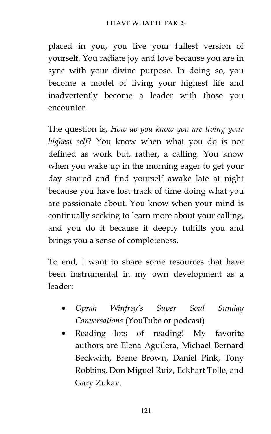placed in you, you live your fullest version of yourself. You radiate joy and love because you are in sync with your divine purpose. In doing so, you become a model of living your highest life and inadvertently become a leader with those you encounter

The question is, *How do you know you are living your highest self?* You know when what you do is not defined as work but, rather, a calling. You know when you wake up in the morning eager to get your day started and find yourself awake late at night because you have lost track of time doing what you are passionate about. You know when your mind is continually seeking to learn more about your calling, and you do it because it deeply fulfills you and brings you a sense of completeness.

To end, I want to share some resources that have been instrumental in my own development as a leader:

- *Oprah Winfrey's Super Soul Sunday Conversations* (YouTube or podcast)
- Reading—lots of reading! My favorite authors are Elena Aguilera, Michael Bernard Beckwith, Brene Brown, Daniel Pink, Tony Robbins, Don Miguel Ruiz, Eckhart Tolle, and Gary Zukav.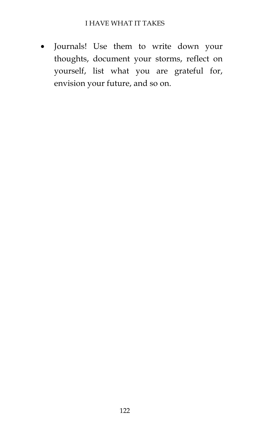• Journals! Use them to write down your thoughts, document your storms, reflect on yourself, list what you are grateful for, envision your future, and so on.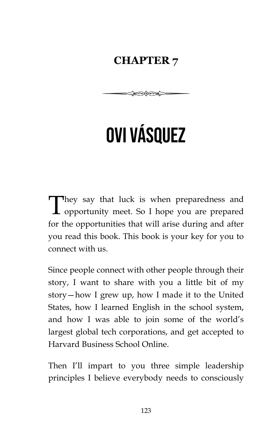## **CHAPTER 7**



# Ovi Vásquez

hey say that luck is when preparedness and They say that luck is when preparedness and opportunity meet. So I hope you are prepared for the opportunities that will arise during and after you read this book. This book is your key for you to connect with us.

Since people connect with other people through their story, I want to share with you a little bit of my story—how I grew up, how I made it to the United States, how I learned English in the school system, and how I was able to join some of the world's largest global tech corporations, and get accepted to Harvard Business School Online.

Then I'll impart to you three simple leadership principles I believe everybody needs to consciously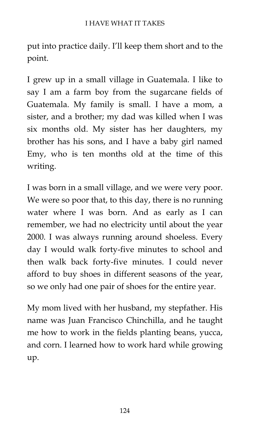put into practice daily. I'll keep them short and to the point.

I grew up in a small village in Guatemala. I like to say I am a farm boy from the sugarcane fields of Guatemala. My family is small. I have a mom, a sister, and a brother; my dad was killed when I was six months old. My sister has her daughters, my brother has his sons, and I have a baby girl named Emy, who is ten months old at the time of this writing.

I was born in a small village, and we were very poor. We were so poor that, to this day, there is no running water where I was born. And as early as I can remember, we had no electricity until about the year 2000. I was always running around shoeless. Every day I would walk forty-five minutes to school and then walk back forty-five minutes. I could never afford to buy shoes in different seasons of the year, so we only had one pair of shoes for the entire year.

My mom lived with her husband, my stepfather. His name was Juan Francisco Chinchilla, and he taught me how to work in the fields planting beans, yucca, and corn. I learned how to work hard while growing up.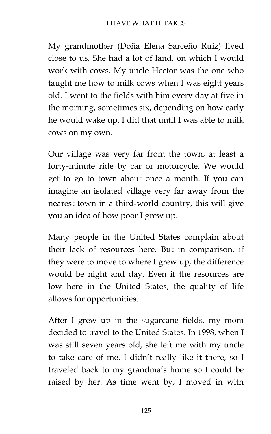My grandmother (Doña Elena Sarceño Ruiz) lived close to us. She had a lot of land, on which I would work with cows. My uncle Hector was the one who taught me how to milk cows when I was eight years old. I went to the fields with him every day at five in the morning, sometimes six, depending on how early he would wake up. I did that until I was able to milk cows on my own.

Our village was very far from the town, at least a forty-minute ride by car or motorcycle. We would get to go to town about once a month. If you can imagine an isolated village very far away from the nearest town in a third-world country, this will give you an idea of how poor I grew up.

Many people in the United States complain about their lack of resources here. But in comparison, if they were to move to where I grew up, the difference would be night and day. Even if the resources are low here in the United States, the quality of life allows for opportunities.

After I grew up in the sugarcane fields, my mom decided to travel to the United States. In 1998, when I was still seven years old, she left me with my uncle to take care of me. I didn't really like it there, so I traveled back to my grandma's home so I could be raised by her. As time went by, I moved in with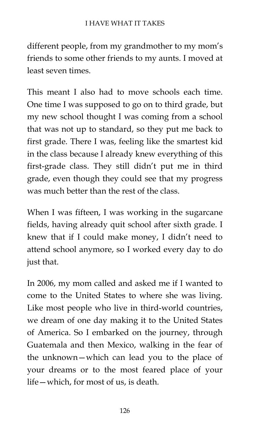different people, from my grandmother to my mom's friends to some other friends to my aunts. I moved at least seven times.

This meant I also had to move schools each time. One time I was supposed to go on to third grade, but my new school thought I was coming from a school that was not up to standard, so they put me back to first grade. There I was, feeling like the smartest kid in the class because I already knew everything of this first-grade class. They still didn't put me in third grade, even though they could see that my progress was much better than the rest of the class.

When I was fifteen, I was working in the sugarcane fields, having already quit school after sixth grade. I knew that if I could make money, I didn't need to attend school anymore, so I worked every day to do just that.

In 2006, my mom called and asked me if I wanted to come to the United States to where she was living. Like most people who live in third-world countries, we dream of one day making it to the United States of America. So I embarked on the journey, through Guatemala and then Mexico, walking in the fear of the unknown—which can lead you to the place of your dreams or to the most feared place of your life—which, for most of us, is death.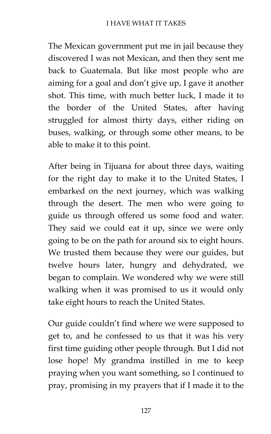The Mexican government put me in jail because they discovered I was not Mexican, and then they sent me back to Guatemala. But like most people who are aiming for a goal and don't give up, I gave it another shot. This time, with much better luck, I made it to the border of the United States, after having struggled for almost thirty days, either riding on buses, walking, or through some other means, to be able to make it to this point.

After being in Tijuana for about three days, waiting for the right day to make it to the United States, I embarked on the next journey, which was walking through the desert. The men who were going to guide us through offered us some food and water. They said we could eat it up, since we were only going to be on the path for around six to eight hours. We trusted them because they were our guides, but twelve hours later, hungry and dehydrated, we began to complain. We wondered why we were still walking when it was promised to us it would only take eight hours to reach the United States.

Our guide couldn't find where we were supposed to get to, and he confessed to us that it was his very first time guiding other people through. But I did not lose hope! My grandma instilled in me to keep praying when you want something, so I continued to pray, promising in my prayers that if I made it to the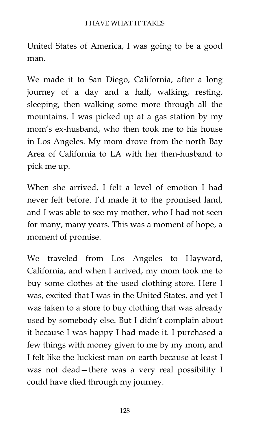United States of America, I was going to be a good man.

We made it to San Diego, California, after a long journey of a day and a half, walking, resting, sleeping, then walking some more through all the mountains. I was picked up at a gas station by my mom's ex-husband, who then took me to his house in Los Angeles. My mom drove from the north Bay Area of California to LA with her then-husband to pick me up.

When she arrived, I felt a level of emotion I had never felt before. I'd made it to the promised land, and I was able to see my mother, who I had not seen for many, many years. This was a moment of hope, a moment of promise.

We traveled from Los Angeles to Hayward, California, and when I arrived, my mom took me to buy some clothes at the used clothing store. Here I was, excited that I was in the United States, and yet I was taken to a store to buy clothing that was already used by somebody else. But I didn't complain about it because I was happy I had made it. I purchased a few things with money given to me by my mom, and I felt like the luckiest man on earth because at least I was not dead—there was a very real possibility I could have died through my journey.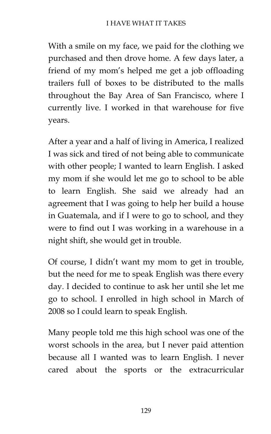With a smile on my face, we paid for the clothing we purchased and then drove home. A few days later, a friend of my mom's helped me get a job offloading trailers full of boxes to be distributed to the malls throughout the Bay Area of San Francisco, where I currently live. I worked in that warehouse for five years.

After a year and a half of living in America, I realized I was sick and tired of not being able to communicate with other people; I wanted to learn English. I asked my mom if she would let me go to school to be able to learn English. She said we already had an agreement that I was going to help her build a house in Guatemala, and if I were to go to school, and they were to find out I was working in a warehouse in a night shift, she would get in trouble.

Of course, I didn't want my mom to get in trouble, but the need for me to speak English was there every day. I decided to continue to ask her until she let me go to school. I enrolled in high school in March of 2008 so I could learn to speak English.

Many people told me this high school was one of the worst schools in the area, but I never paid attention because all I wanted was to learn English. I never cared about the sports or the extracurricular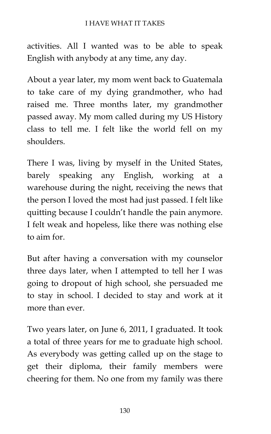#### I HAVE WHAT IT TAKES

activities. All I wanted was to be able to speak English with anybody at any time, any day.

About a year later, my mom went back to Guatemala to take care of my dying grandmother, who had raised me. Three months later, my grandmother passed away. My mom called during my US History class to tell me. I felt like the world fell on my shoulders.

There I was, living by myself in the United States, barely speaking any English, working at a warehouse during the night, receiving the news that the person I loved the most had just passed. I felt like quitting because I couldn't handle the pain anymore. I felt weak and hopeless, like there was nothing else to aim for.

But after having a conversation with my counselor three days later, when I attempted to tell her I was going to dropout of high school, she persuaded me to stay in school. I decided to stay and work at it more than ever.

Two years later, on June 6, 2011, I graduated. It took a total of three years for me to graduate high school. As everybody was getting called up on the stage to get their diploma, their family members were cheering for them. No one from my family was there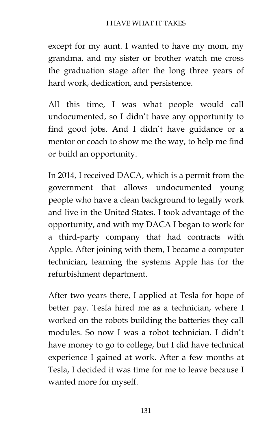#### I HAVE WHAT IT TAKES

except for my aunt. I wanted to have my mom, my grandma, and my sister or brother watch me cross the graduation stage after the long three years of hard work, dedication, and persistence.

All this time, I was what people would call undocumented, so I didn't have any opportunity to find good jobs. And I didn't have guidance or a mentor or coach to show me the way, to help me find or build an opportunity.

In 2014, I received DACA, which is a permit from the government that allows undocumented young people who have a clean background to legally work and live in the United States. I took advantage of the opportunity, and with my DACA I began to work for a third-party company that had contracts with Apple. After joining with them, I became a computer technician, learning the systems Apple has for the refurbishment department.

After two years there, I applied at Tesla for hope of better pay. Tesla hired me as a technician, where I worked on the robots building the batteries they call modules. So now I was a robot technician. I didn't have money to go to college, but I did have technical experience I gained at work. After a few months at Tesla, I decided it was time for me to leave because I wanted more for myself.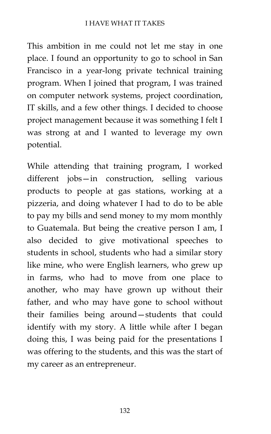This ambition in me could not let me stay in one place. I found an opportunity to go to school in San Francisco in a year-long private technical training program. When I joined that program, I was trained on computer network systems, project coordination, IT skills, and a few other things. I decided to choose project management because it was something I felt I was strong at and I wanted to leverage my own potential.

While attending that training program, I worked different jobs—in construction, selling various products to people at gas stations, working at a pizzeria, and doing whatever I had to do to be able to pay my bills and send money to my mom monthly to Guatemala. But being the creative person I am, I also decided to give motivational speeches to students in school, students who had a similar story like mine, who were English learners, who grew up in farms, who had to move from one place to another, who may have grown up without their father, and who may have gone to school without their families being around—students that could identify with my story. A little while after I began doing this, I was being paid for the presentations I was offering to the students, and this was the start of my career as an entrepreneur.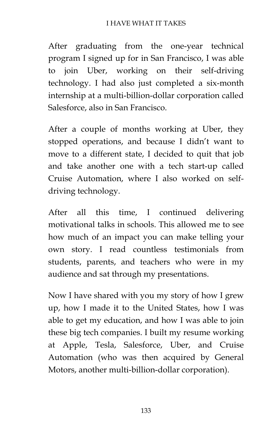After graduating from the one-year technical program I signed up for in San Francisco, I was able to join Uber, working on their self-driving technology. I had also just completed a six-month internship at a multi-billion-dollar corporation called Salesforce, also in San Francisco.

After a couple of months working at Uber, they stopped operations, and because I didn't want to move to a different state, I decided to quit that job and take another one with a tech start-up called Cruise Automation, where I also worked on selfdriving technology.

After all this time, I continued delivering motivational talks in schools. This allowed me to see how much of an impact you can make telling your own story. I read countless testimonials from students, parents, and teachers who were in my audience and sat through my presentations.

Now I have shared with you my story of how I grew up, how I made it to the United States, how I was able to get my education, and how I was able to join these big tech companies. I built my resume working at Apple, Tesla, Salesforce, Uber, and Cruise Automation (who was then acquired by General Motors, another multi-billion-dollar corporation).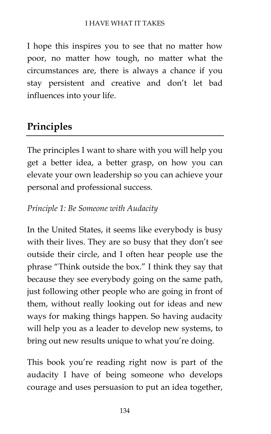#### I HAVE WHAT IT TAKES

I hope this inspires you to see that no matter how poor, no matter how tough, no matter what the circumstances are, there is always a chance if you stay persistent and creative and don't let bad influences into your life.

## **Principles**

The principles I want to share with you will help you get a better idea, a better grasp, on how you can elevate your own leadership so you can achieve your personal and professional success.

#### *Principle 1: Be Someone with Audacity*

In the United States, it seems like everybody is busy with their lives. They are so busy that they don't see outside their circle, and I often hear people use the phrase "Think outside the box." I think they say that because they see everybody going on the same path, just following other people who are going in front of them, without really looking out for ideas and new ways for making things happen. So having audacity will help you as a leader to develop new systems, to bring out new results unique to what you're doing.

This book you're reading right now is part of the audacity I have of being someone who develops courage and uses persuasion to put an idea together,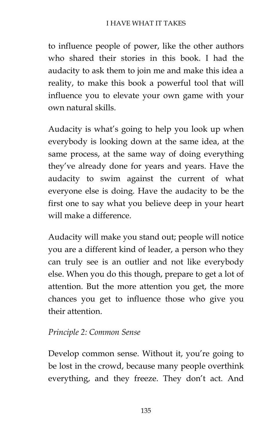to influence people of power, like the other authors who shared their stories in this book. I had the audacity to ask them to join me and make this idea a reality, to make this book a powerful tool that will influence you to elevate your own game with your own natural skills.

Audacity is what's going to help you look up when everybody is looking down at the same idea, at the same process, at the same way of doing everything they've already done for years and years. Have the audacity to swim against the current of what everyone else is doing. Have the audacity to be the first one to say what you believe deep in your heart will make a difference.

Audacity will make you stand out; people will notice you are a different kind of leader, a person who they can truly see is an outlier and not like everybody else. When you do this though, prepare to get a lot of attention. But the more attention you get, the more chances you get to influence those who give you their attention.

## *Principle 2: Common Sense*

Develop common sense. Without it, you're going to be lost in the crowd, because many people overthink everything, and they freeze. They don't act. And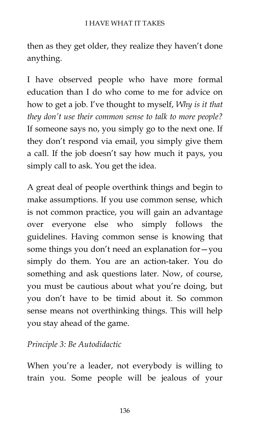then as they get older, they realize they haven't done anything.

I have observed people who have more formal education than I do who come to me for advice on how to get a job. I've thought to myself, *Why is it that they don't use their common sense to talk to more people?* If someone says no, you simply go to the next one. If they don't respond via email, you simply give them a call. If the job doesn't say how much it pays, you simply call to ask. You get the idea.

A great deal of people overthink things and begin to make assumptions. If you use common sense, which is not common practice, you will gain an advantage over everyone else who simply follows the guidelines. Having common sense is knowing that some things you don't need an explanation for—you simply do them. You are an action-taker. You do something and ask questions later. Now, of course, you must be cautious about what you're doing, but you don't have to be timid about it. So common sense means not overthinking things. This will help you stay ahead of the game.

## *Principle 3: Be Autodidactic*

When you're a leader, not everybody is willing to train you. Some people will be jealous of your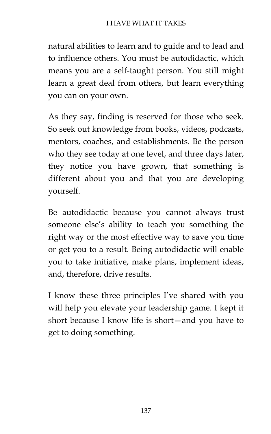natural abilities to learn and to guide and to lead and to influence others. You must be autodidactic, which means you are a self-taught person. You still might learn a great deal from others, but learn everything you can on your own.

As they say, finding is reserved for those who seek. So seek out knowledge from books, videos, podcasts, mentors, coaches, and establishments. Be the person who they see today at one level, and three days later, they notice you have grown, that something is different about you and that you are developing yourself.

Be autodidactic because you cannot always trust someone else's ability to teach you something the right way or the most effective way to save you time or get you to a result. Being autodidactic will enable you to take initiative, make plans, implement ideas, and, therefore, drive results.

I know these three principles I've shared with you will help you elevate your leadership game. I kept it short because I know life is short—and you have to get to doing something.